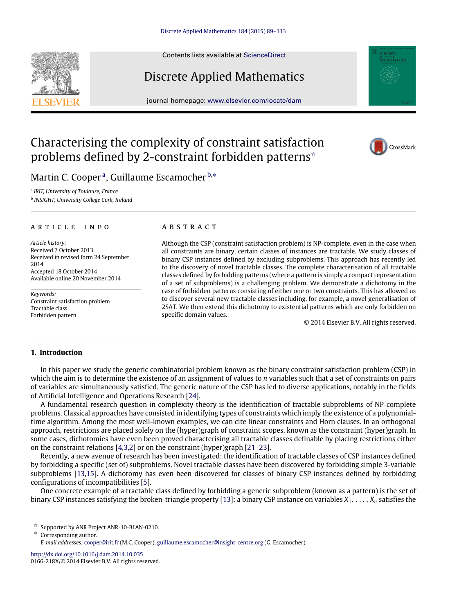Contents lists available at [ScienceDirect](http://www.elsevier.com/locate/dam)

# Discrete Applied Mathematics

journal homepage: [www.elsevier.com/locate/dam](http://www.elsevier.com/locate/dam)

# Characterising the complexity of constraint satisfaction problems defined by 2-constraint forbidden patterns<sup> $\hat{ }$ </sup>

M[a](#page-0-1)rtin C. Cooper<sup>a</sup>, Guillaume Escamocher <sup>[b,](#page-0-2)\*</sup>

<span id="page-0-2"></span><span id="page-0-1"></span>a *IRIT, University of Toulouse, France* b *INSIGHT, University College Cork, Ireland*

# a r t i c l e i n f o

*Article history:* Received 7 October 2013 Received in revised form 24 September 2014 Accepted 18 October 2014 Available online 20 November 2014

*Keywords:* Constraint satisfaction problem Tractable class Forbidden pattern

# a b s t r a c t

Although the CSP (constraint satisfaction problem) is NP-complete, even in the case when all constraints are binary, certain classes of instances are tractable. We study classes of binary CSP instances defined by excluding subproblems. This approach has recently led to the discovery of novel tractable classes. The complete characterisation of all tractable classes defined by forbidding patterns (where a pattern is simply a compact representation of a set of subproblems) is a challenging problem. We demonstrate a dichotomy in the case of forbidden patterns consisting of either one or two constraints. This has allowed us to discover several new tractable classes including, for example, a novel generalisation of 2SAT. We then extend this dichotomy to existential patterns which are only forbidden on specific domain values.

© 2014 Elsevier B.V. All rights reserved.

## **1. Introduction**

In this paper we study the generic combinatorial problem known as the binary constraint satisfaction problem (CSP) in which the aim is to determine the existence of an assignment of values to *n* variables such that a set of constraints on pairs of variables are simultaneously satisfied. The generic nature of the CSP has led to diverse applications, notably in the fields of Artificial Intelligence and Operations Research [\[24\]](#page-24-0).

A fundamental research question in complexity theory is the identification of tractable subproblems of NP-complete problems. Classical approaches have consisted in identifying types of constraints which imply the existence of a polynomialtime algorithm. Among the most well-known examples, we can cite linear constraints and Horn clauses. In an orthogonal approach, restrictions are placed solely on the (hyper)graph of constraint scopes, known as the constraint (hyper)graph. In some cases, dichotomies have even been proved characterising all tractable classes definable by placing restrictions either on the constraint relations [\[4,](#page-24-1)[3](#page-24-2)[,2\]](#page-24-3) or on the constraint (hyper)graph [\[21–23\]](#page-24-4).

Recently, a new avenue of research has been investigated: the identification of tractable classes of CSP instances defined by forbidding a specific (set of) subproblems. Novel tractable classes have been discovered by forbidding simple 3-variable subproblems [\[13,](#page-24-5)[15\]](#page-24-6). A dichotomy has even been discovered for classes of binary CSP instances defined by forbidding configurations of incompatibilities [\[5\]](#page-24-7).

One concrete example of a tractable class defined by forbidding a generic subproblem (known as a pattern) is the set of binary CSP instances satisfying the broken-triangle property [\[13\]](#page-24-5): a binary CSP instance on variables  $X_1, \ldots, X_n$  satisfies the

<span id="page-0-3"></span>Corresponding author.

<http://dx.doi.org/10.1016/j.dam.2014.10.035> 0166-218X/© 2014 Elsevier B.V. All rights reserved.





<span id="page-0-0"></span>Supported by ANR Project ANR-10-BLAN-0210.

*E-mail addresses:* [cooper@irit.fr](mailto:cooper@irit.fr) (M.C. Cooper), [guillaume.escamocher@insight-centre.org](mailto:guillaume.escamocher@insight-centre.org) (G. Escamocher).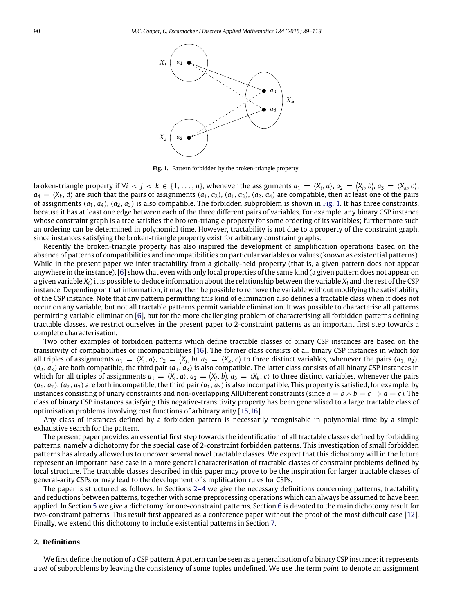<span id="page-1-0"></span>

**Fig. 1.** Pattern forbidden by the broken-triangle property.

broken-triangle property if  $\forall i < j < k \in \{1,\ldots,n\}$ , whenever the assignments  $a_1 = \langle X_i, a \rangle$ ,  $a_2 = \langle X_j, b \rangle$ ,  $a_3 = \langle X_k, c \rangle$ ,  $a_4 = \langle X_k, d \rangle$  are such that the pairs of assignments  $(a_1, a_2)$ ,  $(a_1, a_3)$ ,  $(a_2, a_4)$  are compatible, then at least one of the pairs of assignments  $(a_1, a_4)$ ,  $(a_2, a_3)$  is also compatible. The forbidden subproblem is shown in [Fig. 1.](#page-1-0) It has three constraints, because it has at least one edge between each of the three different pairs of variables. For example, any binary CSP instance whose constraint graph is a tree satisfies the broken-triangle property for some ordering of its variables; furthermore such an ordering can be determined in polynomial time. However, tractability is not due to a property of the constraint graph, since instances satisfying the broken-triangle property exist for arbitrary constraint graphs.

Recently the broken-triangle property has also inspired the development of simplification operations based on the absence of patterns of compatibilities and incompatibilities on particular variables or values (known as existential patterns). While in the present paper we infer tractability from a globally-held property (that is, a given pattern does not appear anywhere in the instance), [\[6\]](#page-24-8) show that even with only local properties of the same kind (a given pattern does not appear on a given variable *Xi*) it is possible to deduce information about the relationship between the variable *X<sup>i</sup>* and the rest of the CSP instance. Depending on that information, it may then be possible to remove the variable without modifying the satisfiability of the CSP instance. Note that any pattern permitting this kind of elimination also defines a tractable class when it does not occur on any variable, but not all tractable patterns permit variable elimination. It was possible to characterise all patterns permitting variable elimination [\[6\]](#page-24-8), but for the more challenging problem of characterising all forbidden patterns defining tractable classes, we restrict ourselves in the present paper to 2-constraint patterns as an important first step towards a complete characterisation.

Two other examples of forbidden patterns which define tractable classes of binary CSP instances are based on the transitivity of compatibilities or incompatibilities [\[16\]](#page-24-9). The former class consists of all binary CSP instances in which for all triples of assignments  $a_1 = \langle X_i, a \rangle$ ,  $a_2 = \langle X_j, b \rangle$ ,  $a_3 = \langle X_k, c \rangle$  to three distinct variables, whenever the pairs  $(a_1, a_2)$ ,  $(a_2, a_3)$  are both compatible, the third pair  $(a_1, a_3)$  is also compatible. The latter class consists of all binary CSP instances in which for all triples of assignments  $a_1 = \langle X_i, a \rangle$ ,  $a_2 = \langle X_j, b \rangle$ ,  $a_3 = \langle X_k, c \rangle$  to three distinct variables, whenever the pairs  $(a_1, a_2)$ ,  $(a_2, a_3)$  are both incompatible, the third pair  $(a_1, a_3)$  is also incompatible. This property is satisfied, for example, by instances consisting of unary constraints and non-overlapping AllDifferent constraints (since  $a = b \land b = c \Rightarrow a = c$ ). The class of binary CSP instances satisfying this negative-transitivity property has been generalised to a large tractable class of optimisation problems involving cost functions of arbitrary arity [\[15,](#page-24-6)[16\]](#page-24-9).

Any class of instances defined by a forbidden pattern is necessarily recognisable in polynomial time by a simple exhaustive search for the pattern.

The present paper provides an essential first step towards the identification of all tractable classes defined by forbidding patterns, namely a dichotomy for the special case of 2-constraint forbidden patterns. This investigation of small forbidden patterns has already allowed us to uncover several novel tractable classes. We expect that this dichotomy will in the future represent an important base case in a more general characterisation of tractable classes of constraint problems defined by local structure. The tractable classes described in this paper may prove to be the inspiration for larger tractable classes of general-arity CSPs or may lead to the development of simplification rules for CSPs.

The paper is structured as follows. In Sections [2–4](#page-1-1) we give the necessary definitions concerning patterns, tractability and reductions between patterns, together with some preprocessing operations which can always be assumed to have been applied. In Section [5](#page-4-0) we give a dichotomy for one-constraint patterns. Section [6](#page-6-0) is devoted to the main dichotomy result for two-constraint patterns. This result first appeared as a conference paper without the proof of the most difficult case [\[12\]](#page-24-10). Finally, we extend this dichotomy to include existential patterns in Section [7.](#page-15-0)

#### <span id="page-1-1"></span>**2. Definitions**

We first define the notion of a CSP pattern. A pattern can be seen as a generalisation of a binary CSP instance; it represents a *set* of subproblems by leaving the consistency of some tuples undefined. We use the term *point* to denote an assignment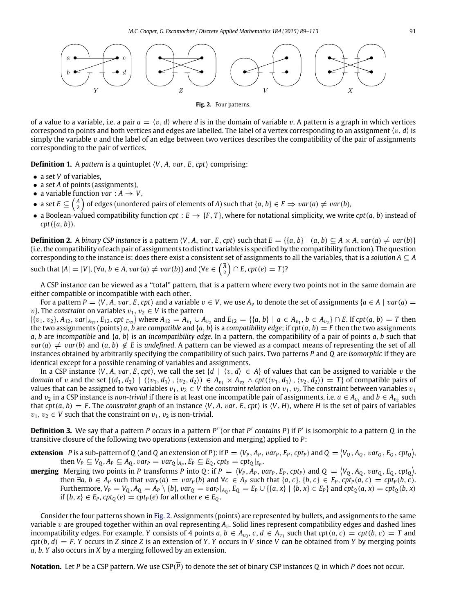<span id="page-2-0"></span>

**Fig. 2.** Four patterns.

of a value to a variable, i.e. a pair  $a = \langle v, d \rangle$  where *d* is in the domain of variable v. A pattern is a graph in which vertices correspond to points and both vertices and edges are labelled. The label of a vertex corresponding to an assignment  $\langle v, d \rangle$  is simply the variable  $v$  and the label of an edge between two vertices describes the compatibility of the pair of assignments corresponding to the pair of vertices.

**Definition 1.** A *pattern* is a quintuplet  $\langle V, A, var, E, cpt \rangle$  comprising:

- a set *V* of variables,
- a set *A* of points (assignments),
- a variable function *var* :  $A \rightarrow V$ ,
- $\bullet$  a set  $E\subseteq{A\choose 2}$  of edges (unordered pairs of elements of *A*) such that  $\{a,b\}\in E\Rightarrow var(a)\neq var(b),$
- a Boolean-valued compatibility function  $cpt: E \to \{F, T\}$ , where for notational simplicity, we write  $cpt(a, b)$  instead of *cpt*({*a*, *b*}).

**Definition 2.** A binary CSP instance is a pattern  $\langle V, A, var, E, cpt \rangle$  such that  $E = \{ \{a, b\} \mid (a, b) \subseteq A \times A, var(a) \neq var(b) \}$ (i.e. the compatibility of each pair of assignments to distinct variables is specified by the compatibility function). The question corresponding to the instance is: does there exist a consistent set of assignments to all the variables, that is a *solution*  $\overline{A} \subseteq A$ 

such that 
$$
|\overline{A}| = |V|
$$
,  $(\forall a, b \in \overline{A}, var(a) \neq var(b))$  and  $(\forall e \in {\overline{A} \choose 2} \cap E, cpt(e) = T)$ ?

A CSP instance can be viewed as a ''total'' pattern, that is a pattern where every two points not in the same domain are either compatible or incompatible with each other.

For a pattern  $P = \langle V, A, \text{var}, E, cpt \rangle$  and a variable  $v \in V$ , we use  $A_v$  to denote the set of assignments  $\{a \in A \mid \text{var}(a) =$ *v*}. The *constraint* on variables  $v_1, v_2 \in V$  is the pattern

 $\langle \{v_1, v_2\}, A_{12}, \text{var}|_{A_{12}}, E_{12}, \text{cpt}|_{E_{12}} \rangle$  where  $A_{12} = A_{v_1} \cup A_{v_2}$  and  $E_{12} = \{ \{a, b\} \mid a \in A_{v_1}, b \in A_{v_2} \} \cap E$ . If  $\text{cpt}(a, b) = T$  then the two assignments (points) *a*, *b* are *compatible* and { $a$ , *b*} is a *compatibility edge*; if *cpt*( $a$ ,  $b$ ) = *F* then the two assignments *a*, *b* are *incompatible* and {*a*, *b*} is an *incompatibility edge*. In a pattern, the compatibility of a pair of points *a*, *b* such that  $var(a) \neq var(b)$  and  $(a, b) \notin E$  is *undefined*. A pattern can be viewed as a compact means of representing the set of all instances obtained by arbitrarily specifying the compatibility of such pairs. Two patterns *P* and *Q* are *isomorphic* if they are identical except for a possible renaming of variables and assignments.

In a CSP instance  $\langle V, A, var, E, cpt \rangle$ , we call the set  $\{d \mid \langle v, d \rangle \in A\}$  of values that can be assigned to variable v the *domain* of v and the set  $\{(d_1, d_2) \mid ((v_1, d_1), (v_2, d_2)) \in A_{v_1} \times A_{v_2} \wedge \text{cpt}((v_1, d_1), (v_2, d_2)) = T\}$  of compatible pairs of values that can be assigned to two variables  $v_1, v_2 \in V$  the *constraint relation* on  $v_1, v_2$ . The constraint between variables  $v_1$ and  $v_2$  in a CSP instance is *non-trivial* if there is at least one incompatible pair of assignments, i.e.  $a \in A_{v_1}$  and  $b \in A_{v_2}$  such that  $cpt(a, b) = F$ . The *constraint graph* of an instance  $\langle V, A, var, E, cpt \rangle$  is  $\langle V, H \rangle$ , where *H* is the set of pairs of variables  $v_1, v_2 \in V$  such that the constraint on  $v_1, v_2$  is non-trivial.

<span id="page-2-1"></span>**Definition 3.** We say that a pattern *P* occurs in a pattern *P'* (or that *P'* contains *P*) if *P'* is isomorphic to a pattern *Q* in the transitive closure of the following two operations (extension and merging) applied to *P*:

**extension** P is a sub-pattern of Q (and Q an extension of P): if  $P = \langle V_P, A_P, var_P, E_P, cpt_P \rangle$  and  $Q = \langle V_Q, A_Q, var_Q, E_Q, cpt_Q \rangle$ then  $V_P \subseteq V_Q$ ,  $A_P \subseteq A_Q$ ,  $var_P = var_Q|_{A_P}$ ,  $E_P \subseteq E_Q$ ,  $cpt_P = cpt_Q|_{E_P}$ .

**merging** Merging two points in P transforms P into Q: if  $P = \langle V_P, A_P, var_P, E_P, cpt_P \rangle$  and  $Q = \langle V_Q, A_Q, var_Q, E_Q, cpt_Q \rangle$ then  $\exists a, b \in A_p$  such that  $var_p(a) = var_p(b)$  and  $\forall c \in A_p$  such that  $\{a, c\}, \{b, c\} \in E_p$ ,  $cpt_p(a, c) = cpt_p(b, c)$ . Furthermore,  $V_P = V_Q$ ,  $A_Q = A_P \setminus \{b\}$ ,  $var_Q = var_P|_{A_Q}$ ,  $E_Q = E_P \cup \{\{a, x\} \mid \{b, x\} \in E_P\}$  and  $cpt_Q(a, x) = cpt_Q(b, x)$ if  ${b, x} \in E_P$ ,  $cpt_Q(e) = cpt_P(e)$  for all other  $e \in E_Q$ .

Consider the four patterns shown in [Fig. 2.](#page-2-0) Assignments (points) are represented by bullets, and assignments to the same variable v are grouped together within an oval representing  $A_v$ . Solid lines represent compatibility edges and dashed lines incompatibility edges. For example, *Y* consists of 4 points  $a, b \in A_{v_0}, c, d \in A_{v_1}$  such that  $cpt(a, c) = cpt(b, c) = T$  and  $cpt(b, d) = F$ . *Y* occurs in *Z* since *Z* is an extension of *Y*. *Y* occurs in *V* since *V* can be obtained from *Y* by merging points *a*, *b*. *Y* also occurs in *X* by a merging followed by an extension.

**Notation.** Let *P* be a CSP pattern. We use CSP(*P*) to denote the set of binary CSP instances *Q* in which *P* does not occur.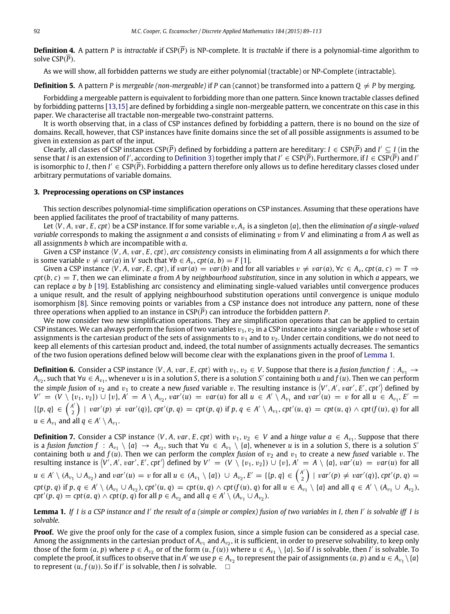**Definition 4.** A pattern *P* is *intractable* if  $CSP(\overline{P})$  is NP-complete. It is *tractable* if there is a polynomial-time algorithm to solve CSP(*P*).

As we will show, all forbidden patterns we study are either polynomial (tractable) or NP-Complete (intractable).

**Definition 5.** A pattern *P* is *mergeable (non-mergeable)* if *P* can (cannot) be transformed into a pattern  $O \neq P$  by merging.

Forbidding a mergeable pattern is equivalent to forbidding more than one pattern. Since known tractable classes defined by forbidding patterns [\[13](#page-24-5)[,15\]](#page-24-6) are defined by forbidding a single non-mergeable pattern, we concentrate on this case in this paper. We characterise all tractable non-mergeable two-constraint patterns.

It is worth observing that, in a class of CSP instances defined by forbidding a pattern, there is no bound on the size of domains. Recall, however, that CSP instances have finite domains since the set of all possible assignments is assumed to be given in extension as part of the input.

Clearly, all classes of CSP instances CSP( $\overline{P}$ ) defined by forbidding a pattern are hereditary:  $I \in \text{CSP}(\overline{P})$  and  $I' \subseteq I$  (in the sense that *I* is an extension of *I'*, according to [Definition 3\)](#page-2-1) together imply that  $I' \in \mathrm{CSP}(\overline{P})$ . Furthermore, if  $I \in \mathrm{CSP}(\overline{P})$  and *I'* is isomorphic to *I*, then  $I' \in \text{CSP}(\overline{P})$ . Forbidding a pattern therefore only allows us to define hereditary classes closed under arbitrary permutations of variable domains.

## **3. Preprocessing operations on CSP instances**

This section describes polynomial-time simplification operations on CSP instances. Assuming that these operations have been applied facilitates the proof of tractability of many patterns.

Let  $\langle V, A, var, E, cpt \rangle$  be a CSP instance. If for some variable  $v, A<sub>v</sub>$  is a singleton  $\{a\}$ , then the *elimination of a single-valued variable* corresponds to making the assignment *a* and consists of eliminating v from *V* and eliminating *a* from *A* as well as all assignments *b* which are incompatible with *a*.

Given a CSP instance ⟨*V*, *A*, v*ar*, *E*, *cpt*⟩, *arc consistency* consists in eliminating from *A* all assignments *a* for which there is some variable  $v ≠ var(a)$  in *V* such that  $∀b ∈ A<sub>v</sub>, cpt(a, b) = F[1].$  $∀b ∈ A<sub>v</sub>, cpt(a, b) = F[1].$  $∀b ∈ A<sub>v</sub>, cpt(a, b) = F[1].$ 

Given a CSP instance  $\langle V, A, var, E, cpt \rangle$ , if  $var(a) = var(b)$  and for all variables  $v \neq var(a)$ ,  $\forall c \in A_v$ ,  $cpt(a, c) = T \Rightarrow$  $cpt(b, c) = T$ , then we can eliminate *a* from *A* by *neighbourhood substitution*, since in any solution in which *a* appears, we can replace *a* by *b* [\[19\]](#page-24-12). Establishing arc consistency and eliminating single-valued variables until convergence produces a unique result, and the result of applying neighbourhood substitution operations until convergence is unique modulo isomorphism [\[8\]](#page-24-13). Since removing points or variables from a CSP instance does not introduce any pattern, none of these three operations when applied to an instance in  $CSP(\overline{P})$  can introduce the forbidden pattern *P*.

We now consider two new simplification operations. They are simplification operations that can be applied to certain CSP instances. We can always perform the fusion of two variables  $v_1, v_2$  in a CSP instance into a single variable v whose set of assignments is the cartesian product of the sets of assignments to  $v_1$  and to  $v_2$ . Under certain conditions, we do not need to keep all elements of this cartesian product and, indeed, the total number of assignments actually decreases. The semantics of the two fusion operations defined below will become clear with the explanations given in the proof of [Lemma 1.](#page-3-0)

**Definition 6.** Consider a CSP instance  $\langle V, A, var, E, cpt \rangle$  with  $v_1, v_2 \in V$ . Suppose that there is a *fusion function f* :  $A_{v_1} \rightarrow$ *Av*<sub>2</sub>, such that ∀*u* ∈ *Av*<sub>1</sub>, whenever *u* is in a solution *S*, there is a solution *S'* containing both *u* and *f* (*u*). Then we can perform the simple fusion of  $v_2$  and  $v_1$  to create a new fused variable v. The resulting instance is  $\langle V', A', v$ ar',  $E', c$ pt' $\rangle$  defined by  $V' = (V \setminus \{v_1, v_2\}) \cup \{v\}, A' = A \setminus A_{v_2}, \text{var}'(u) = \text{var}(u)$  for all  $u \in A' \setminus A_{v_1}$  and  $\text{var}'(u) = v$  for all  $u \in A_{v_1}, E' =$  $\{ \{p, q\} \in \binom{A'}{2}$  $\binom{A'}{2}$  |  $var'(p) \neq var'(q)$ }, cpt $'(p,q) =$  cpt $(p,q)$  if  $p,q \in A' \setminus A_{v_1}$ , cpt $'(u,q) =$  cpt $(u,q) \wedge$  cpt $(f(u),q)$  for all  $u \in A_{v_1}$  and all  $q \in A' \setminus A_{v_1}$ .

**Definition 7.** Consider a CSP instance  $\langle V, A, var, E, cpt \rangle$  with  $v_1, v_2 \in V$  and a *hinge value a*  $\in A_{v_1}$ . Suppose that there is a fusion function  $f : A_{v_1} \setminus \{a\} \to A_{v_2}$ , such that  $\forall u \in A_{v_1} \setminus \{a\}$ , whenever *u* is in a solution *S*, there is a solution *S* containing both *u* and  $f(u)$ . Then we can perform the *complex fusion* of  $v_2$  and  $v_1$  to create a new *fused* variable *v*. The resulting instance is  $\langle V', A', var', E', cpt'\rangle$  defined by  $V' = (V \setminus \{v_1, v_2\}) \cup \{v\}, A' = A \setminus \{a\}, var'(u) = var(u)$  for all *u* ∈ *A'*  $\setminus$  (*A*<sub>v<sub>1</sub></sub> ∪ *A*<sub>v<sub>2</sub></sub>) and *var'*(*u*) = *v* for all *u* ∈ (*A*<sub>v<sub>1</sub></sub>  $\setminus$  {*a*}) ∪ *A*<sub>v<sub>2</sub>, *E'* = {{*p*, *q*} ∈  $\begin{pmatrix} A' \\ 2 \end{pmatrix}$ </sub>  $\binom{a'}{2}$  | var'(p)  $\neq$  var'(q)}, cpt'(p, q) =  $cpt(p,q)$  if  $p,q \in A' \setminus (A_{v_1} \cup A_{v_2})$ ,  $cpt'(u,q) = cpt(u,q) \wedge cpt(f(u),q)$  for all  $u \in A_{v_1} \setminus \{a\}$  and all  $q \in A' \setminus (A_{v_1} \cup A_{v_2})$ ,  $\varphi$ *cpt'*(*p*, *q*) = *cpt*(*a*, *q*)  $\wedge$  *cpt*(*p*, *q*) for all *p* ∈ *A*<sub>v<sub>2</sub></sub> and all *q* ∈ *A'* \ (*A*<sub>v<sub>1</sub></sub> ∪ *A*<sub>v<sub>2</sub></sub>).

<span id="page-3-0"></span>**Lemma 1.** *If I is a CSP instance and I*′ *the result of a (simple or complex) fusion of two variables in I, then I*′ *is solvable iff I is solvable.*

**Proof.** We give the proof only for the case of a complex fusion, since a simple fusion can be considered as a special case. Among the assignments in the cartesian product of A<sub>v1</sub> and A<sub>v2</sub>, it is sufficient, in order to preserve solvability, to keep only those of the form  $(a, p)$  where  $p \in A_{v_2}$  or of the form  $(u, f(u))$  where  $u \in A_{v_1} \setminus \{a\}$ . So if *I* is solvable, then *I'* is solvable. To complete the proof, it suffices to observe that in *A'* we use  $p \in A_{v_2}$  to represent the pair of assignments  $(a, p)$  and  $u \in A_{v_1} \setminus \{a\}$ to represent  $(u, f(u))$ . So if *I'* is solvable, then *I* is solvable.  $\square$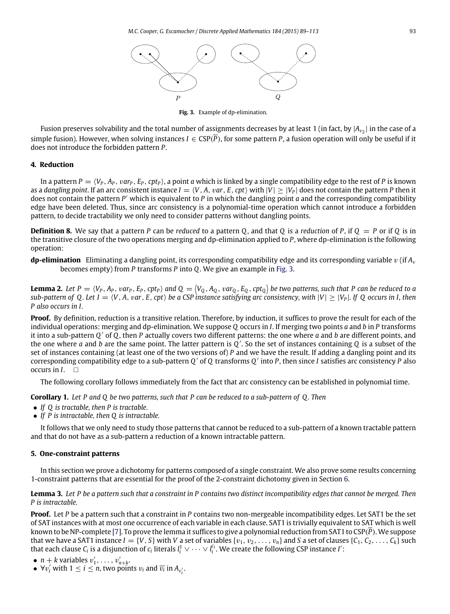

**Fig. 3.** Example of dp-elimination.

<span id="page-4-1"></span>Fusion preserves solvability and the total number of assignments decreases by at least 1 (in fact, by  $|A_{v_2}|$  in the case of a simple fusion). However, when solving instances  $I \in CSP(\overline{P})$ , for some pattern P, a fusion operation will only be useful if it does not introduce the forbidden pattern *P*.

# **4. Reduction**

In a pattern  $P = \langle V_P, A_P, var_P, E_P, cpt_P \rangle$ , a point *a* which is linked by a single compatibility edge to the rest of *P* is known as a *dangling point*. If an arc consistent instance  $I = \langle V, A, var, E, cpt \rangle$  with  $|V| > |V_P|$  does not contain the pattern P then it does not contain the pattern *P* ′ which is equivalent to *P* in which the dangling point *a* and the corresponding compatibility edge have been deleted. Thus, since arc consistency is a polynomial-time operation which cannot introduce a forbidden pattern, to decide tractability we only need to consider patterns without dangling points.

**Definition 8.** We say that a pattern *P* can be *reduced* to a pattern *Q*, and that *Q* is a *reduction* of *P*, if  $Q = P$  or if *Q* is in the transitive closure of the two operations merging and dp-elimination applied to *P*, where dp-elimination is the following operation:

**dp-elimination** Eliminating a dangling point, its corresponding compatibility edge and its corresponding variable  $v$  (if  $A_v$ becomes empty) from *P* transforms *P* into *Q*. We give an example in [Fig. 3.](#page-4-1)

**Lemma 2.** Let  $P=\langle V_P,A_P,var_P,E_P,cpt_P\rangle$  and  $Q=\langle V_Q,A_Q,var_Q,E_Q,cpt_Q\rangle$  be two patterns, such that P can be reduced to a *sub-pattern of Q. Let*  $I = \langle V, A, var, E, cpt \rangle$  *be a CSP instance satisfying arc consistency, with*  $|V| \geq |V_P|$ *. If Q occurs in I, then P also occurs in I.*

**Proof.** By definition, reduction is a transitive relation. Therefore, by induction, it suffices to prove the result for each of the individual operations: merging and dp-elimination. We suppose *Q* occurs in *I*. If merging two points *a* and *b* in *P* transforms it into a sub-pattern *Q* ′ of *Q*, then *P* actually covers two different patterns: the one where *a* and *b* are different points, and the one where *a* and *b* are the same point. The latter pattern is *Q* ′ . So the set of instances containing *Q* is a subset of the set of instances containing (at least one of the two versions of) *P* and we have the result. If adding a dangling point and its corresponding compatibility edge to a sub-pattern *Q* ′ of *Q* transforms *Q* ′ into *P*, then since *I* satisfies arc consistency *P* also occurs in *I*.

<span id="page-4-3"></span>The following corollary follows immediately from the fact that arc consistency can be established in polynomial time.

**Corollary 1.** *Let P and Q be two patterns, such that P can be reduced to a sub-pattern of Q . Then*

- *If Q is tractable, then P is tractable.*
- *If P is intractable, then Q is intractable.*

It follows that we only need to study those patterns that cannot be reduced to a sub-pattern of a known tractable pattern and that do not have as a sub-pattern a reduction of a known intractable pattern.

## <span id="page-4-0"></span>**5. One-constraint patterns**

In this section we prove a dichotomy for patterns composed of a single constraint. We also prove some results concerning 1-constraint patterns that are essential for the proof of the 2-constraint dichotomy given in Section [6.](#page-6-0)

# <span id="page-4-2"></span>**Lemma 3.** *Let P be a pattern such that a constraint in P contains two distinct incompatibility edges that cannot be merged. Then P is intractable.*

**Proof.** Let *P* be a pattern such that a constraint in *P* contains two non-mergeable incompatibility edges. Let SAT1 be the set of SAT instances with at most one occurrence of each variable in each clause. SAT1 is trivially equivalent to SAT which is well known to be NP-complete [\[7\]](#page-24-14). To prove the lemma it suffices to give a polynomial reduction from SAT1 to CSP(*P*).We suppose that we have a SAT1 instance  $I = \{V, S\}$  with V a set of variables  $\{v_1, v_2, \ldots, v_n\}$  and S a set of clauses  $\{C_1, C_2, \ldots, C_k\}$  such that each clause  $C_i$  is a disjunction of  $c_i$  literals  $l_i^1 \vee \cdots \vee l_i^{c_i}$ . We create the following CSP instance *I'*:

- $n + k$  variables  $v'_1, \ldots, v'_{n+k}$ .
- $\forall v'_i$  with  $1 \leq i \leq n$ , two points  $v_i$  and  $\overline{v_i}$  in  $A_{v'_i}$ .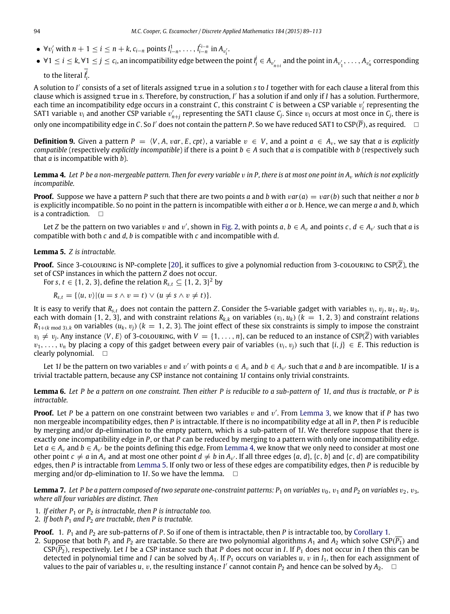- $\bullet$  ∀*v*<sub>*i*</sub></sub> with  $n + 1 \le i \le n + k$ ,  $c_{i-n}$  points  $l_{i-n}^1, \ldots, l_{i-n}^{c_{i-n}}$  in  $A_{v_i'}$ .
- $\forall 1 \leq i \leq k, \forall 1 \leq j \leq c_i$ , an incompatibility edge between the point  $l_i^j \in A_{v'_{n+i}}$  and the point in  $A_{v'_1}, \ldots, A_{v'_n}$  corresponding to the literal  $l_i^j$ .

A solution to *I* ′ consists of a set of literals assigned true in a solution *s* to *I* together with for each clause a literal from this clause which is assigned true in *s*. Therefore, by construction, *I* ′ has a solution if and only if *I* has a solution. Furthermore, each time an incompatibility edge occurs in a constraint *C*, this constraint *C* is between a CSP variable  $v'_i$  representing the SAT1 variable  $v_i$  and another CSP variable  $v'_{n+j}$  representing the SAT1 clause  $C_j$ . Since  $v_i$  occurs at most once in  $C_j$ , there is only one incompatibility edge in C. So I' does not contain the pattern P. So we have reduced SAT1 to CSP( $\overline{P}$ ), as required.  $\quad \Box$ 

**Definition 9.** Given a pattern  $P = \langle V, A, var, E, cpt \rangle$ , a variable  $v \in V$ , and a point  $a \in A_v$ , we say that *a* is *explicitly compatible* (respectively *explicitly incompatible*) if there is a point  $b \in A$  such that *a* is compatible with *b* (respectively such that *a* is incompatible with *b*).

<span id="page-5-0"></span>**Lemma 4.** Let P be a non-mergeable pattern. Then for every variable  $v$  in P, there is at most one point in  $A_v$  which is not explicitly *incompatible.*

**Proof.** Suppose we have a pattern P such that there are two points *a* and *b* with  $var(a) = var(b)$  such that neither *a* nor *b* is explicitly incompatible. So no point in the pattern is incompatible with either *a* or *b*. Hence, we can merge *a* and *b*, which is a contradiction.  $\Box$ 

Let *Z* be the pattern on two variables v and v', shown in [Fig. 2,](#page-2-0) with points  $a, b \in A_v$  and points  $c, d \in A_{v'}$  such that  $a$  is compatible with both *c* and *d*, *b* is compatible with *c* and incompatible with *d*.

# <span id="page-5-1"></span>**Lemma 5.** *Z is intractable.*

**Proof.** Since 3-colouring is NP-complete [\[20\]](#page-24-15), it suffices to give a polynomial reduction from 3-colouring to  $\text{CSP}(\overline{Z})$ , the set of CSP instances in which the pattern *Z* does not occur.

For *s*,  $t \in \{1, 2, 3\}$ , define the relation  $R_{s,t} \subseteq \{1, 2, 3\}^2$  by

$$
R_{s,t} = \{ \langle u, v \rangle | (u = s \wedge v = t) \vee (u \neq s \wedge v \neq t) \}.
$$

It is easy to verify that  $R_{s,t}$  does not contain the pattern *Z*. Consider the 5-variable gadget with variables  $v_i$ ,  $v_j$ ,  $u_1$ ,  $u_2$ ,  $u_3$ , each with domain {1, 2, 3}, and with constraint relations  $R_{k,k}$  on variables  $(v_i, u_k)$  ( $k = 1, 2, 3$ ) and constraint relations  $R_{1+(k \mod 3),k}$  on variables  $(u_k, v_j)$  ( $k = 1, 2, 3$ ). The joint effect of these six constraints is simply to impose the constraint  $v_i \neq v_j$ . Any instance  $\langle V, E \rangle$  of 3-colouring, with  $V = \{1, \ldots, n\}$ , can be reduced to an instance of CSP( $\overline{Z}$ ) with variables  $v_1, \ldots, v_n$  by placing a copy of this gadget between every pair of variables  $(v_i, v_j)$  such that  $\{i, j\} \in E$ . This reduction is clearly polynomial.  $\square$ 

Let 1I be the pattern on two variables  $v$  and  $v'$  with points  $a \in A_v$  and  $b \in A_{v'}$  such that  $a$  and  $b$  are incompatible. 1I is a trivial tractable pattern, because any CSP instance not containing 1*I* contains only trivial constraints.

<span id="page-5-3"></span>**Lemma 6.** *Let P be a pattern on one constraint. Then either P is reducible to a sub-pattern of* 1*I, and thus is tractable, or P is intractable.*

**Proof.** Let P be a pattern on one constraint between two variables v and v'. From [Lemma 3,](#page-4-2) we know that if P has two non mergeable incompatibility edges, then *P* is intractable. If there is no incompatibility edge at all in *P*, then *P* is reducible by merging and/or dp-elimination to the empty pattern, which is a sub-pattern of 1*I*. We therefore suppose that there is exactly one incompatibility edge in *P*, or that *P* can be reduced by merging to a pattern with only one incompatibility edge. Let  $a\in A_v$  and  $b\in A_{v'}$  be the points defining this edge. From [Lemma 4,](#page-5-0) we know that we only need to consider at most one other point  $c \neq a$  in  $A_v$  and at most one other point  $d \neq b$  in  $A_{v'}$ . If all three edges  $\{a, d\}$ ,  $\{c, b\}$  and  $\{c, d\}$  are compatibility edges, then *P* is intractable from [Lemma 5.](#page-5-1) If only two or less of these edges are compatibility edges, then *P* is reducible by merging and/or dp-elimination to 1*I*. So we have the lemma.  $\square$ 

<span id="page-5-2"></span>**Lemma 7.** Let P be a pattern composed of two separate one-constraint patterns:  $P_1$  on variables  $v_0$ ,  $v_1$  and  $P_2$  on variables  $v_2$ ,  $v_3$ , *where all four variables are distinct. Then*

- 1. If either  $P_1$  or  $P_2$  is intractable, then P is intractable too.
- 2. *If both P*<sup>1</sup> *and P*<sup>2</sup> *are tractable, then P is tractable.*

**Proof.** 1. *P*<sup>1</sup> and *P*<sup>2</sup> are sub-patterns of *P*. So if one of them is intractable, then *P* is intractable too, by [Corollary 1.](#page-4-3)

2. Suppose that both  $P_1$  and  $P_2$  are tractable. So there are two polynomial algorithms  $A_1$  and  $A_2$  which solve CSP( $\overline{P_1}$ ) and  $CSP(\overline{P_2})$ , respectively. Let *I* be a CSP instance such that *P* does not occur in *I*. If  $P_1$  does not occur in *I* then this can be detected in polynomial time and *I* can be solved by  $A_1$ . If  $P_1$  occurs on variables  $u, v$  in  $I_1$ , then for each assignment of values to the pair of variables *u*, *v*, the resulting instance *I'* cannot contain  $P_2$  and hence can be solved by  $A_2$ .  $\subset$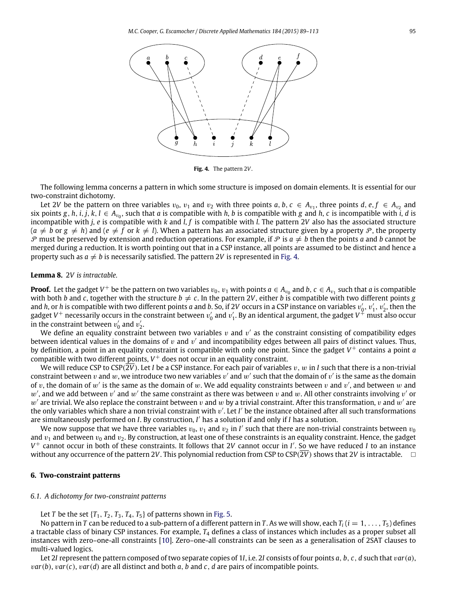<span id="page-6-1"></span>

**Fig. 4.** The pattern 2*V*.

The following lemma concerns a pattern in which some structure is imposed on domain elements. It is essential for our two-constraint dichotomy.

Let 2V be the pattern on three variables  $v_0$ ,  $v_1$  and  $v_2$  with three points  $a, b, c \in A_{v_1}$ , three points  $d, e, f \in A_{v_2}$  and six points  $g, h, i, j, k, l \in A_{v_0}$ , such that a is compatible with h, b is compatible with g and h, c is incompatible with i, d is incompatible with *j*, *e* is compatible with *k* and *l*, *f* is compatible with *l*. The pattern 2*V* also has the associated structure  $(a \neq b \text{ or } g \neq h)$  and  $(e \neq f \text{ or } k \neq l)$ . When a pattern has an associated structure given by a property P, the property  $P$  must be preserved by extension and reduction operations. For example, if P is  $a \neq b$  then the points a and b cannot be merged during a reduction. It is worth pointing out that in a CSP instance, all points are assumed to be distinct and hence a property such as  $a \neq b$  is necessarily satisfied. The pattern 2*V* is represented in [Fig. 4.](#page-6-1)

## <span id="page-6-2"></span>**Lemma 8.** 2*V is intractable.*

**Proof.** Let the gadget  $V^+$  be the pattern on two variables  $v_0$ ,  $v_1$  with points  $a \in A_{v_0}$  and  $b$ ,  $c \in A_{v_1}$  such that *a* is compatible with both *b* and *c*, together with the structure  $b \neq c$ . In the pattern 2*V*, either *b* is compatible with two different points *g* and *h*, or *h* is compatible with two different points *a* and *b*. So, if 2*V* occurs in a CSP instance on variables  $v'_0$ ,  $v'_1$ ,  $v'_2$ , then the gadget V<sup>+</sup> necessarily occurs in the constraint between  $v_0'$  and  $v_1'$ . By an identical argument, the gadget V<sup>+</sup> must also occur in the constraint between  $v'_0$  and  $v'_2$ .

We define an equality constraint between two variables  $v$  and  $v'$  as the constraint consisting of compatibility edges between identical values in the domains of v and  $v'$  and incompatibility edges between all pairs of distinct values. Thus, by definition, a point in an equality constraint is compatible with only one point. Since the gadget *V* <sup>+</sup> contains a point *a* compatible with two different points, *V* <sup>+</sup> does not occur in an equality constraint.

We will reduce CSP to CSP( $2V$ ). Let *I* be a CSP instance. For each pair of variables v, w in *I* such that there is a non-trivial constraint between  $v$  and  $w$ , we introduce two new variables  $v'$  and  $w'$  such that the domain of  $v'$  is the same as the domain of v, the domain of  $w'$  is the same as the domain of w. We add equality constraints between v and  $v'$ , and between w and  $w'$ , and we add between  $v'$  and  $w'$  the same constraint as there was between v and w. All other constraints involving  $v'$  or  $w'$  are trivial. We also replace the constraint between  $v$  and  $w$  by a trivial constraint. After this transformation,  $v$  and  $w'$  are the only variables which share a non trivial constraint with v'. Let I' be the instance obtained after all such transformations are simultaneously performed on *I*. By construction, *I* ′ has a solution if and only if *I* has a solution.

We now suppose that we have three variables  $v_0$ ,  $v_1$  and  $v_2$  in  $I'$  such that there are non-trivial constraints between  $v_0$ and  $v_1$  and between  $v_0$  and  $v_2$ . By construction, at least one of these constraints is an equality constraint. Hence, the gadget *V* <sup>+</sup> cannot occur in both of these constraints. It follows that 2*V* cannot occur in *I* ′ . So we have reduced *I* to an instance without any occurrence of the pattern 2*V*. This polynomial reduction from CSP to CSP( $2\overline{V}$ ) shows that 2*V* is intractable.

# <span id="page-6-0"></span>**6. Two-constraint patterns**

#### *6.1. A dichotomy for two-constraint patterns*

Let *T* be the set  ${T_1, T_2, T_3, T_4, T_5}$  of patterns shown in [Fig. 5.](#page-7-0)

No pattern in *T* can be reduced to a sub-pattern of a different pattern in *T*. As we will show, each  $T_i$  ( $i = 1, \ldots, T_5$ ) defines a tractable class of binary CSP instances. For example, *T*<sup>4</sup> defines a class of instances which includes as a proper subset all instances with zero–one-all constraints [\[10\]](#page-24-16). Zero–one-all constraints can be seen as a generalisation of 2SAT clauses to multi-valued logics.

Let 2*I* represent the pattern composed of two separate copies of 1*I*, i.e. 2*I* consists of four points *a*, *b*, *c*, *d* such that v*ar*(*a*), v*ar*(*b*), v*ar*(*c*), v*ar*(*d*) are all distinct and both *a*, *b* and *c*, *d* are pairs of incompatible points.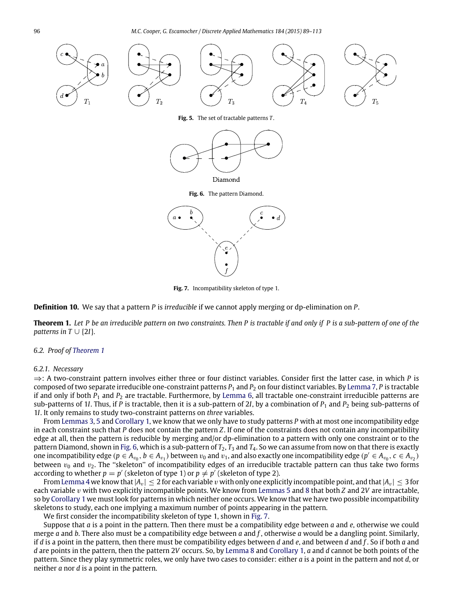<span id="page-7-2"></span><span id="page-7-0"></span>

**Fig. 5.** The set of tractable patterns *T* .



**Fig. 6.** The pattern Diamond.



**Fig. 7.** Incompatibility skeleton of type 1.

<span id="page-7-3"></span>**Definition 10.** We say that a pattern *P* is *irreducible* if we cannot apply merging or dp-elimination on *P*.

<span id="page-7-1"></span>**Theorem 1.** *Let P be an irreducible pattern on two constraints. Then P is tractable if and only if P is a sub-pattern of one of the patterns in*  $T \cup \{2I\}$ *.* 

# *6.2. Proof of [Theorem 1](#page-7-1)*

## *6.2.1. Necessary*

⇒: A two-constraint pattern involves either three or four distinct variables. Consider first the latter case, in which *P* is composed of two separate irreducible one-constraint patterns *P*<sup>1</sup> and *P*<sup>2</sup> on four distinct variables. By [Lemma 7,](#page-5-2) *P* is tractable if and only if both  $P_1$  and  $P_2$  are tractable. Furthermore, by [Lemma 6,](#page-5-3) all tractable one-constraint irreducible patterns are sub-patterns of 1*I*. Thus, if *P* is tractable, then it is a sub-pattern of 2*I*, by a combination of  $P_1$  and  $P_2$  being sub-patterns of 1*I*. It only remains to study two-constraint patterns on *three* variables.

From [Lemmas 3,](#page-4-2) [5](#page-5-1) and [Corollary 1,](#page-4-3) we know that we only have to study patterns *P* with at most one incompatibility edge in each constraint such that *P* does not contain the pattern *Z*. If one of the constraints does not contain any incompatibility edge at all, then the pattern is reducible by merging and/or dp-elimination to a pattern with only one constraint or to the pattern Diamond, shown in [Fig. 6,](#page-7-2) which is a sub-pattern of  $T_2$ ,  $T_3$  and  $T_4$ . So we can assume from now on that there is exactly one incompatibility edge ( $p\in A_{v_0},$   $b\in A_{v_1}$ ) between  $v_0$  and  $v_1$ , and also exactly one incompatibility edge ( $p'\in A_{v_0},$   $c\in A_{v_2}$ ) between  $v_0$  and  $v_2$ . The "skeleton" of incompatibility edges of an irreducible tractable pattern can thus take two forms according to whether  $p = p'$  (skeleton of type 1) or  $p \neq p'$  (skeleton of type 2).

From [Lemma 4](#page-5-0) we know that  $|A_v| \leq 2$  for each variable v with only one explicitly incompatible point, and that  $|A_v| \leq 3$  for each variable v with two explicitly incompatible points. We know from [Lemmas 5](#page-5-1) and [8](#page-6-2) that both *Z* and 2*V* are intractable, so by [Corollary 1](#page-4-3) we must look for patterns in which neither one occurs. We know that we have two possible incompatibility skeletons to study, each one implying a maximum number of points appearing in the pattern.

We first consider the incompatibility skeleton of type 1, shown in [Fig. 7.](#page-7-3)

Suppose that *a* is a point in the pattern. Then there must be a compatibility edge between *a* and *e*, otherwise we could merge *a* and *b*. There also must be a compatibility edge between *a* and *f* , otherwise *a* would be a dangling point. Similarly, if *d* is a point in the pattern, then there must be compatibility edges between *d* and *e*, and between *d* and *f* . So if both *a* and *d* are points in the pattern, then the pattern 2*V* occurs. So, by [Lemma 8](#page-6-2) and [Corollary 1,](#page-4-3) *a* and *d* cannot be both points of the pattern. Since they play symmetric roles, we only have two cases to consider: either *a* is a point in the pattern and not *d*, or neither *a* nor *d* is a point in the pattern.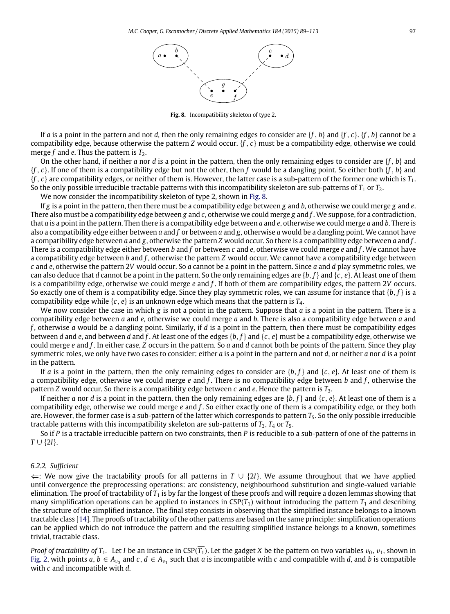

**Fig. 8.** Incompatibility skeleton of type 2.

<span id="page-8-0"></span>If *a* is a point in the pattern and not *d*, then the only remaining edges to consider are  $\{f, b\}$  and  $\{f, c\}$ .  $\{f, b\}$  cannot be a compatibility edge, because otherwise the pattern *Z* would occur. {*f* , *c*} must be a compatibility edge, otherwise we could merge  $f$  and  $e$ . Thus the pattern is  $T_2$ .

On the other hand, if neither *a* nor *d* is a point in the pattern, then the only remaining edges to consider are {*f* , *b*} and {*f* , *c*}. If one of them is a compatibility edge but not the other, then *f* would be a dangling point. So either both {*f* , *b*} and {*f* , *c*} are compatibility edges, or neither of them is. However, the latter case is a sub-pattern of the former one which is *T*1. So the only possible irreducible tractable patterns with this incompatibility skeleton are sub-patterns of  $T_1$  or  $T_2$ .

We now consider the incompatibility skeleton of type 2, shown in [Fig. 8.](#page-8-0)

If *g* is a point in the pattern, then there must be a compatibility edge between *g* and *b*, otherwise we could merge *g* and *e*. There also must be a compatibility edge between *g* and *c*, otherwise we could merge *g* and *f* . We suppose, for a contradiction, that *a* is a point in the pattern. Then there is a compatibility edge between *a* and *e*, otherwise we could merge *a* and *b*. There is also a compatibility edge either between *a* and *f* or between *a* and *g*, otherwise *a* would be a dangling point. We cannot have a compatibility edge between *a* and *g*, otherwise the pattern *Z* would occur. So there is a compatibility edge between *a* and *f* . There is a compatibility edge either between *b* and *f* or between *c* and *e*, otherwise we could merge *e* and *f* . We cannot have a compatibility edge between *b* and *f* , otherwise the pattern *Z* would occur. We cannot have a compatibility edge between *c* and *e*, otherwise the pattern 2*V* would occur. So *a* cannot be a point in the pattern. Since *a* and *d* play symmetric roles, we can also deduce that *d* cannot be a point in the pattern. So the only remaining edges are {*b*, *f*} and {*c*, *e*}. At least one of them is a compatibility edge, otherwise we could merge *e* and *f* . If both of them are compatibility edges, the pattern 2*V* occurs. So exactly one of them is a compatibility edge. Since they play symmetric roles, we can assume for instance that {*b*, *f*} is a compatibility edge while  $\{c, e\}$  is an unknown edge which means that the pattern is  $T_4$ .

We now consider the case in which *g* is not a point in the pattern. Suppose that *a* is a point in the pattern. There is a compatibility edge between *a* and *e*, otherwise we could merge *a* and *b*. There is also a compatibility edge between *a* and *f* , otherwise *a* would be a dangling point. Similarly, if *d* is a point in the pattern, then there must be compatibility edges between *d* and *e*, and between *d* and *f* . At least one of the edges {*b*, *f*} and {*c*, *e*} must be a compatibility edge, otherwise we could merge *e* and *f* . In either case, *Z* occurs in the pattern. So *a* and *d* cannot both be points of the pattern. Since they play symmetric roles, we only have two cases to consider: either *a* is a point in the pattern and not *d*, or neither *a* nor *d* is a point in the pattern.

If *a* is a point in the pattern, then the only remaining edges to consider are  $\{b, f\}$  and  $\{c, e\}$ . At least one of them is a compatibility edge, otherwise we could merge *e* and *f* . There is no compatibility edge between *b* and *f* , otherwise the pattern *Z* would occur. So there is a compatibility edge between *c* and *e*. Hence the pattern is *T*3.

If neither *a* nor *d* is a point in the pattern, then the only remaining edges are  $\{b, f\}$  and  $\{c, e\}$ . At least one of them is a compatibility edge, otherwise we could merge *e* and *f* . So either exactly one of them is a compatibility edge, or they both are. However, the former case is a sub-pattern of the latter which corresponds to pattern *T*5. So the only possible irreducible tractable patterns with this incompatibility skeleton are sub-patterns of *T*3, *T*<sup>4</sup> or *T*5.

So if *P* is a tractable irreducible pattern on two constraints, then *P* is reducible to a sub-pattern of one of the patterns in *T* ∪ {2*I*}.

#### *6.2.2. Sufficient*

⇐: We now give the tractability proofs for all patterns in *T* ∪ {2*I*}. We assume throughout that we have applied until convergence the preprocessing operations: arc consistency, neighbourhood substitution and single-valued variable elimination. The proof of tractability of *T*<sup>1</sup> is by far the longest of these proofs and will require a dozen lemmas showing that many simplification operations can be applied to instances in  $CSP(T_1)$  without introducing the pattern  $T_1$  and describing the structure of the simplified instance. The final step consists in observing that the simplified instance belongs to a known tractable class [\[14\]](#page-24-17). The proofs of tractability of the other patterns are based on the same principle: simplification operations can be applied which do not introduce the pattern and the resulting simplified instance belongs to a known, sometimes trivial, tractable class.

*Proof of tractability of T<sub>1</sub>*. Let *I* be an instance in CSP( $\overline{T_1}$ ). Let the gadget *X* be the pattern on two variables  $v_0$ ,  $v_1$ , shown in [Fig. 2,](#page-2-0) with points  $a, b \in A_{v_0}$  and  $c, d \in A_{v_1}$  such that  $a$  is incompatible with  $c$  and compatible with  $d$ , and  $b$  is compatible with *c* and incompatible with *d*.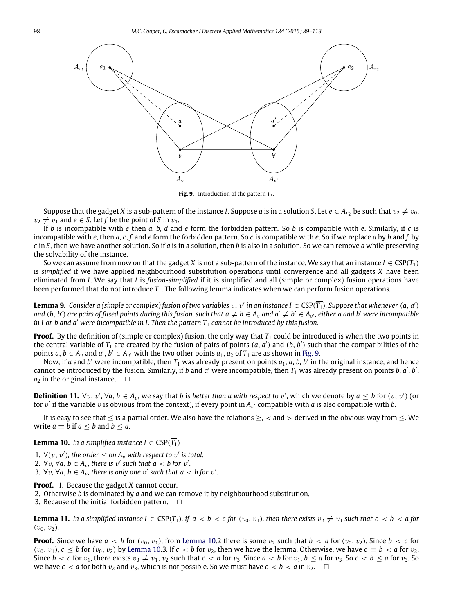<span id="page-9-0"></span>

**Fig. 9.** Introduction of the pattern  $T_1$ .

Suppose that the gadget X is a sub-pattern of the instance *I*. Suppose  $a$  is in a solution S. Let  $e\in A_{v_2}$  be such that  $v_2\neq v_0$ ,  $v_2 \neq v_1$  and  $e \in S$ . Let f be the point of *S* in  $v_1$ .

If *b* is incompatible with *e* then *a*, *b*, *d* and *e* form the forbidden pattern. So *b* is compatible with *e*. Similarly, if *c* is incompatible with *e*, then *a*, *c*, *f* and *e* form the forbidden pattern. So *c* is compatible with *e*. So if we replace *a* by *b* and *f* by *c* in *S*, then we have another solution. So if *a* is in a solution, then *b* is also in a solution. So we can remove *a* while preserving the solvability of the instance.

So we can assume from now on that the gadget *X* is not a sub-pattern of the instance. We say that an instance  $I \in \text{CSP}(T_1)$ is *simplified* if we have applied neighbourhood substitution operations until convergence and all gadgets *X* have been eliminated from *I*. We say that *I* is *fusion-simplified* if it is simplified and all (simple or complex) fusion operations have been performed that do not introduce  $T_1$ . The following lemma indicates when we can perform fusion operations.

<span id="page-9-3"></span>**Lemma 9.** Consider a (simple or complex) fusion of two variables  $v, v'$  in an instance  $I \in \mathrm{CSP}(\overline{T_1})$ . Suppose that whenever  $(a, a')$ and  $(b, b')$  are pairs of fused points during this fusion, such that  $a \neq b \in A_v$  and  $a' \neq b' \in A_{v'}$ , either a and b′ were incompatible *in I or b and a' were incompatible in I. Then the pattern*  $T_1$  *cannot be introduced by this fusion.* 

**Proof.** By the definition of (simple or complex) fusion, the only way that  $T_1$  could be introduced is when the two points in the central variable of  $T_1$  are created by the fusion of pairs of points  $(a, a')$  and  $(b, b')$  such that the compatibilities of the points *a*,  $b \in A_v$  and  $a', b' \in A_{v'}$  with the two other points  $a_1, a_2$  of  $T_1$  are as shown in [Fig. 9.](#page-9-0)

Now, if *a* and *b'* were incompatible, then *T*<sub>1</sub> was already present on points *a*<sub>1</sub>, *a*, *b*, *b'* in the original instance, and hence cannot be introduced by the fusion. Similarly, if *b* and *a'* were incompatible, then  $T_1$  was already present on points *b*, *a'*, *b'*,  $a_2$  in the original instance.  $\square$ 

**Definition 11.**  $\forall v, v', \forall a, b \in A_v$ , we say that *b* is *better than a with respect to* v', which we denote by  $a \leq b$  for  $(v, v')$  (or for  $v'$  if the variable  $v$  is obvious from the context), if every point in  $A_{v'}$  compatible with *a* is also compatible with *b*.

It is easy to see that  $\leq$  is a partial order. We also have the relations  $\geq$ ,  $\lt$  and  $\gt$  derived in the obvious way from  $\leq$ . We write  $a \equiv b$  if  $a \leq b$  and  $b \leq a$ .

<span id="page-9-1"></span>**Lemma 10.** *In a simplified instance I*  $\in$  CSP( $\overline{T_1}$ )

1.  $\forall (v, v')$ , the order  $\leq$  on  $A_v$  with respect to  $v'$  is total.

2.  $\forall v, \forall a, b \in A_v$ , there is v' such that  $a < b$  for v'.

3.  $\forall v, \forall a, b \in A_v$ , there is only one v' such that  $a < b$  for v'.

**Proof.** 1. Because the gadget *X* cannot occur.

2. Otherwise *b* is dominated by *a* and we can remove it by neighbourhood substitution.

3. Because of the initial forbidden pattern.  $\Box$ 

<span id="page-9-2"></span>**Lemma 11.** In a simplified instance  $I \in \text{CSP}(\overline{T_1})$ , if  $a < b < c$  for  $(v_0, v_1)$ , then there exists  $v_2 \neq v_1$  such that  $c < b < a$  for  $(v_0, v_2)$ .

**Proof.** Since we have  $a < b$  for  $(v_0, v_1)$ , from [Lemma 10.](#page-9-1)2 there is some  $v_2$  such that  $b < a$  for  $(v_0, v_2)$ . Since  $b < c$  for  $(v_0, v_1)$ ,  $c \leq b$  for  $(v_0, v_2)$  by [Lemma 10.](#page-9-1)3. If  $c < b$  for  $v_2$ , then we have the lemma. Otherwise, we have  $c \equiv b < a$  for  $v_2$ . Since  $b < c$  for  $v_1$ , there exists  $v_3 \neq v_1$ ,  $v_2$  such that  $c < b$  for  $v_3$ . Since  $a < b$  for  $v_1$ ,  $b \le a$  for  $v_3$ . So  $c < b \le a$  for  $v_3$ . So we have  $c < a$  for both  $v_2$  and  $v_3$ , which is not possible. So we must have  $c < b < a$  in  $v_2$ .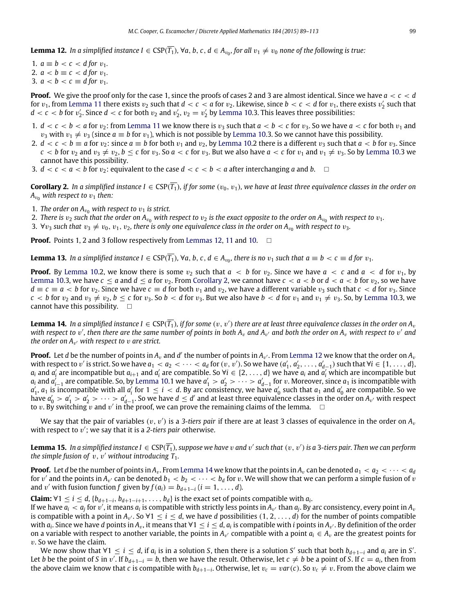<span id="page-10-0"></span>**Lemma 12.** In a simplified instance  $I \in \text{CSP}(\overline{T_1})$ ,  $\forall a, b, c, d \in A_{v_0}$ , for all  $v_1 \neq v_0$  none of the following is true:

1.  $a \equiv b < c < d$  for  $v_1$ . 2.  $a < b \equiv c < d$  for  $v_1$ . 3.  $a < b < c \equiv d$  for  $v_1$ .

**Proof.** We give the proof only for the case 1, since the proofs of cases 2 and 3 are almost identical. Since we have *a* < *c* < *d* for  $v_1$ , from [Lemma 11](#page-9-2) there exists  $v_2$  such that  $d < c < a$  for  $v_2$ . Likewise, since  $b < c < d$  for  $v_1$ , there exists  $v_2'$  such that  $d < c < b$  for  $v_2'$ . Since  $d < c$  for both  $v_2$  and  $v_2', v_2 = v_2'$  by [Lemma 10.](#page-9-1)3. This leaves three possibilities:

- 1.  $d < c < b < a$  for  $v_2$ : from [Lemma 11](#page-9-2) we know there is  $v_3$  such that  $a < b < c$  for  $v_3$ . So we have  $a < c$  for both  $v_1$  and  $v_3$  with  $v_1 \neq v_3$  (since  $a \equiv b$  for  $v_1$ ), which is not possible by [Lemma 10.](#page-9-1)3. So we cannot have this possibility.
- 2.  $d < c < b \equiv a$  for  $v_2$ : since  $a \equiv b$  for both  $v_1$  and  $v_2$ , by [Lemma 10.](#page-9-1)2 there is a different  $v_3$  such that  $a < b$  for  $v_3$ . Since  $c < b$  for  $v_2$  and  $v_3 \neq v_2$ ,  $b \leq c$  for  $v_3$ . So  $a < c$  for  $v_3$ . But we also have  $a < c$  for  $v_1$  and  $v_1 \neq v_3$ . So by [Lemma 10.](#page-9-1)3 we cannot have this possibility.
- 3.  $d < c < a < b$  for  $v_2$ : equivalent to the case  $d < c < b < a$  after interchanging a and b.

<span id="page-10-1"></span>**Corollary 2.** In a simplified instance  $I \in \text{CSP}(\overline{T_1})$ , if for some  $(v_0, v_1)$ , we have at least three equivalence classes in the order on  $A_{v0}$  *with respect to*  $v_1$  *then:* 

- 1. *The order on*  $A_{v_0}$  *with respect to*  $v_1$  *is strict.*
- 2. *There is*  $v_2$  *such that the order on*  $A_{v_0}$  *with respect to*  $v_2$  *is the exact opposite to the order on*  $A_{v_0}$  *with respect to*  $v_1$ *.*
- 3.  $\forall v_3$  such that  $v_3 \neq v_0$ ,  $v_1$ ,  $v_2$ , there is only one equivalence class in the order on  $A_{v_0}$  with respect to  $v_3$ .

**Proof.** Points 1, 2 and 3 follow respectively from [Lemmas 12,](#page-10-0) [11](#page-9-2) and [10.](#page-9-1)  $\Box$ 

<span id="page-10-3"></span>**Lemma 13.** In a simplified instance  $I \in \text{CSP}(\overline{T_1})$ ,  $\forall a, b, c, d \in A_{v_0}$ , there is no  $v_1$  such that  $a \equiv b < c \equiv d$  for  $v_1$ .

**Proof.** By [Lemma 10.](#page-9-1)2, we know there is some  $v_2$  such that  $a < b$  for  $v_2$ . Since we have  $a < c$  and  $a < d$  for  $v_1$ , by [Lemma 10.](#page-9-1)3, we have  $c \le a$  and  $d \le a$  for  $v_2$ . From [Corollary 2,](#page-10-1) we cannot have  $c < a < b$  or  $d < a < b$  for  $v_2$ , so we have  $d \equiv c \equiv a < b$  for  $v_2$ . Since we have  $c \equiv d$  for both  $v_1$  and  $v_2$ , we have a different variable  $v_3$  such that  $c < d$  for  $v_3$ . Since  $c < b$  for  $v_2$  and  $v_3 \neq v_2$ ,  $b \leq c$  for  $v_3$ . So  $b < d$  for  $v_3$ . But we also have  $b < d$  for  $v_1$  and  $v_1 \neq v_3$ . So, by [Lemma 10.](#page-9-1)3, we cannot have this possibility.  $\square$ 

<span id="page-10-2"></span>**Lemma 14.** In a simplified instance I  $\in$  CSP( $\overline{T_1}$ ), if for some  $(v,v')$  there are at least three equivalence classes in the order on  $A_v$ with respect to  $v'$ , then there are the same number of points in both  $A_v$  and  $A_{v'}$  and both the order on  $A_v$  with respect to  $v'$  and *the order on*  $A_{\nu'}$  *with respect to*  $\nu$  *are strict.* 

**Proof.** Let  $d$  be the number of points in  $A_v$  and  $d'$  the number of points in  $A_{v'}$ . From [Lemma 12](#page-10-0) we know that the order on  $A_v$ with respect to v' is strict. So we have  $a_1 < a_2 < \cdots < a_d$  for  $(v, v')$ . So we have  $(a'_1, a'_2, \ldots, a'_{d-1})$  such that  $\forall i \in \{1, \ldots, d\}$ ,  $a_i$  and  $a'_i$  are incompatible but  $a_{i+1}$  and  $a'_i$  are compatible. So  $\forall i \in \{2,\ldots,d\}$  we have  $a_i$  and  $a'_i$  which are incompatible but *a*<sub>*i*</sub> and *a*<sup>*i*</sup><sub>-1</sub> are compatible. So, by [Lemma 10.](#page-9-1)1 we have  $a'_1 > a'_2 > \cdots > a'_{d-1}$  for *v*. Moreover, since *a*<sub>1</sub> is incompatible with  $a'_1$ ,  $a_1$  is incompatible with all  $a'_i$  for  $1 \le i < d$ . By arc consistency, we have  $a'_0$  such that  $a_1$  and  $a'_0$  are compatible. So we have  $a'_0>a'_1>a'_2>\cdots>a'_{d-1}$ . So we have  $d\leq d'$  and at least three equivalence classes in the order on  $A_{v'}$  with respect to  $v$ . By switching  $v$  and  $v'$  in the proof, we can prove the remaining claims of the lemma.  $\Box$ 

We say that the pair of variables  $(v,v')$  is a 3-*tiers pair* if there are at least 3 classes of equivalence in the order on  $A_v$ with respect to v ′ ; we say that it is a *2-tiers pair* otherwise.

**Lemma 15.** In a simplified instance I  $\in$  CSP( $\overline{T_1}$ ), suppose we have  $v$  and  $v'$  such that  $(v,v')$  is a 3-tiers pair. Then we can perform *the simple fusion of*  $v, v'$  *without introducing*  $T_1$ *.* 

**Proof.** Let *d* be the number of points in  $A_v$ . From [Lemma 14](#page-10-2) we know that the points in  $A_v$  can be denoted  $a_1 < a_2 < \cdots < a_d$ for  $v'$  and the points in  $A_{v'}$  can be denoted  $b_1 < b_2 < \cdots < b_d$  for  $v$ . We will show that we can perform a simple fusion of  $v$ and v' with fusion function *f* given by  $f(a_i) = b_{d+1-i}$  ( $i = 1, \ldots, d$ ).

**Claim:**  $\forall$ 1 ≤ *i* ≤ *d*, {*b*<sub>*d*+1−*i*</sub>, *b*<sub>*d*+1−*i*+1</sub>, . . . . , *b*<sub>*d*</sub>} is the exact set of points compatible with *a*<sub>*i*</sub>

If we have  $a_i < a_j$  for  $v'$ , it means  $a_i$  is compatible with strictly less points in  $A_{v'}$  than  $a_j$ . By arc consistency, every point in  $A_v$ is compatible with a point in  $A_{v'}$ . So  $\forall 1\leq i\leq d$ , we have *d* possibilities  $(1,2,\ldots,d)$  for the number of points compatible with  $a_i$ . Since we have  $d$  points in  $A_v$ , it means that  $\forall 1\leq i\leq d$ ,  $a_i$  is compatible with  $i$  points in  $A_{v'}$ . By definition of the order on a variable with respect to another variable, the points in  $A_{v'}$  compatible with a point  $a_i \in A_v$  are the greatest points for v. So we have the claim.

We now show that  $\forall 1 \leq i \leq d$ , if  $a_i$  is in a solution *S*, then there is a solution *S'* such that both  $b_{d+1-i}$  and  $a_i$  are in *S'*. Let *b* be the point of *S* in v'. If  $b_{d+1-i} = b$ , then we have the result. Otherwise, let  $c \neq b$  be a point of *S*. If  $c = a_i$ , then from the above claim we know that *c* is compatible with  $b_{d+1-i}$ . Otherwise, let  $v_c = var(c)$ . So  $v_c \neq v$ . From the above claim we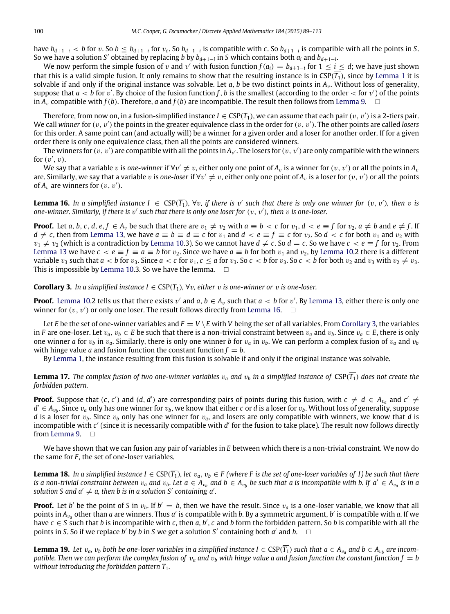have  $b_{d+1-i} < b$  for v. So  $b \le b_{d+1-i}$  for  $v_c$ . So  $b_{d+1-i}$  is compatible with c. So  $b_{d+1-i}$  is compatible with all the points in S. So we have a solution *S'* obtained by replacing *b* by  $b_{d+1-i}$  in *S* which contains both  $a_i$  and  $b_{d+1-i}$ .

We now perform the simple fusion of  $v$  and  $v'$  with fusion function  $f(a_i)=b_{d+1-i}$  for  $1\leq i\leq d;$  we have just shown that this is a valid simple fusion. It only remains to show that the resulting instance is in  $CSP(T_1)$ , since by [Lemma 1](#page-3-0) it is solvable if and only if the original instance was solvable. Let  $a, b$  be two distinct points in  $A<sub>v</sub>$ . Without loss of generality, suppose that  $a < b$  for  $v'$ . By choice of the fusion function f, b is the smallest (according to the order  $<$  for  $v'$ ) of the points in  $A_v$  compatible with  $f(b)$ . Therefore, *a* and  $f(b)$  are incompatible. The result then follows from [Lemma 9.](#page-9-3)  $\Box$ 

Therefore, from now on, in a fusion-simplified instance  $I\in\mathrm{CSP}(\overline{T_1})$ , we can assume that each pair  $(v,v')$  is a 2-tiers pair. We call winner for  $(v, v')$  the points in the greater equivalence class in the order for  $(v, v')$ . The other points are called *losers* for this order. A same point can (and actually will) be a winner for a given order and a loser for another order. If for a given order there is only one equivalence class, then all the points are considered winners.

The winners for  $(v,v')$  are compatible with all the points in $A_{v'}$ . The losers for  $(v,v')$  are only compatible with the winners for  $(v', v)$ .

We say that a variable  $v$  is one-winner if  $\forall v'\neq v$ , either only one point of  $A_v$  is a winner for  $(v,v')$  or all the points in  $A_v$ are. Similarly, we say that a variable  $v$  is one-loser if  $\forall v'\neq v$ , either only one point of  $A_v$  is a loser for  $(v,v')$  or all the points of  $A_v$  are winners for  $(v, v')$ .

<span id="page-11-0"></span>**Lemma 16.** In a simplified instance  $I \in \text{CSP}(\overline{T_1})$ ,  $\forall v$ , if there is v' such that there is only one winner for  $(v, v')$ , then v is one-winner. Similarly, if there is  $v'$  such that there is only one loser for  $(v, v')$ , then  $v$  is one-loser.

**Proof.** Let a, b, c, d, e,  $f \in A_v$  be such that there are  $v_1 \neq v_2$  with  $a \equiv b < c$  for  $v_1$ ,  $d < e \equiv f$  for  $v_2$ ,  $a \neq b$  and  $e \neq f$ . If *d* ≠ *c*, then from [Lemma 13,](#page-10-3) we have  $a \equiv b \equiv d \equiv c$  for  $v_1$  and  $d < e \equiv f \equiv c$  for  $v_2$ . So  $d < c$  for both  $v_1$  and  $v_2$  with  $v_1 \neq v_2$  (which is a contradiction by [Lemma 10.](#page-9-1)3). So we cannot have  $d \neq c$ . So  $d = c$ . So we have  $c < e \equiv f$  for  $v_2$ . From [Lemma 13](#page-10-3) we have  $c < e \equiv f \equiv a \equiv b$  for  $v_2$ . Since we have  $a \equiv b$  for both  $v_1$  and  $v_2$ , by [Lemma 10.](#page-9-1)2 there is a different variable  $v_3$  such that  $a < b$  for  $v_3$ . Since  $a < c$  for  $v_1$ ,  $c \le a$  for  $v_3$ . So  $c < b$  for  $v_3$ . So  $c < b$  for both  $v_2$  and  $v_3$  with  $v_2 \ne v_3$ . This is impossible by [Lemma 10.](#page-9-1)3. So we have the lemma.  $\Box$ 

<span id="page-11-1"></span>**Corollary 3.** *In a simplified instance*  $I \in \text{CSP}(\overline{T_1})$ ,  $\forall v$ , either v *is one-winner* or v *is one-loser.* 

**Proof.** [Lemma 10.](#page-9-1)2 tells us that there exists  $v'$  and  $a, b \in A_v$  such that  $a < b$  for  $v'$ . By [Lemma 13,](#page-10-3) either there is only one winner for  $(v, v')$  or only one loser. The result follows directly from [Lemma 16.](#page-11-0)  $\Box$ 

Let *E* be the set of one-winner variables and  $F = V \setminus E$  with *V* being the set of all variables. From [Corollary 3,](#page-11-1) the variables in *F* are one-loser. Let  $v_a$ ,  $v_b \in E$  be such that there is a non-trivial constraint between  $v_a$  and  $v_b$ . Since  $v_a \in E$ , there is only one winner *a* for  $v_b$  in  $v_a$ . Similarly, there is only one winner *b* for  $v_a$  in  $v_b$ . We can perform a complex fusion of  $v_a$  and  $v_b$ with hinge value *a* and fusion function the constant function  $f = b$ .

By [Lemma 1,](#page-3-0) the instance resulting from this fusion is solvable if and only if the original instance was solvable.

**Lemma 17.** The complex fusion of two one-winner variables  $v_a$  and  $v_b$  in a simplified instance of  $CSP(\overline{T_1})$  does not create the *forbidden pattern.*

**Proof.** Suppose that  $(c, c')$  and  $(d, d')$  are corresponding pairs of points during this fusion, with  $c \neq d \in A_{v_a}$  and  $c' \neq d$  $d' \in A_{v_b}$ . Since  $v_a$  only has one winner for  $v_b$ , we know that either *c* or *d* is a loser for  $v_b$ . Without loss of generality, suppose *d* is a loser for  $v_b$ . Since  $v_b$  only has one winner for  $v_a$ , and losers are only compatible with winners, we know that *d* is incompatible with *c'* (since it is necessarily compatible with *d'* for the fusion to take place). The result now follows directly from [Lemma 9.](#page-9-3)  $\Box$ 

We have shown that we can fusion any pair of variables in *E* between which there is a non-trivial constraint. We now do the same for *F* , the set of one-loser variables.

<span id="page-11-2"></span>**Lemma 18.** In a simplified instance I ∈ CSP( $\overline{T_1}$ ), let  $v_a$ ,  $v_b$  ∈ F (where F is the set of one-loser variables of I) be such that there is a non-trivial constraint between  $v_a$  and  $v_b$ . Let  $a \in A_{v_a}$  and  $b \in A_{v_b}$  be such that a is incompatible with b. If  $a' \in A_{v_a}$  is in a solution *S* and  $a' \neq a$ , then *b* is in a solution *S'* containing  $a'$ .

**Proof.** Let *b'* be the point of *S* in  $v_b$ . If  $b' = b$ , then we have the result. Since  $v_a$  is a one-loser variable, we know that all points in  $A_{v_a}$  other than *a* are winners. Thus *a'* is compatible with *b*. By a symmetric argument, *b'* is compatible with *a*. If we have *c* ∈ *S* such that *b* is incompatible with *c*, then *a*, *b* ′ , *c* and *b* form the forbidden pattern. So *b* is compatible with all the points in *S*. So if we replace *b*' by *b* in *S* we get a solution *S'* containing both *a'* and *b*.  $\Box$ 

**Lemma 19.** Let  $v_a$ ,  $v_b$  both be one-loser variables in a simplified instance  $I \in \text{CSP}(\overline{T_1})$  such that  $a \in A_{v_a}$  and  $b \in A_{v_b}$  are incom*patible. Then we can perform the complex fusion of*  $v_a$  *and*  $v_b$  *with hinge value a and fusion function the constant function*  $f = b$ *without introducing the forbidden pattern T*1*.*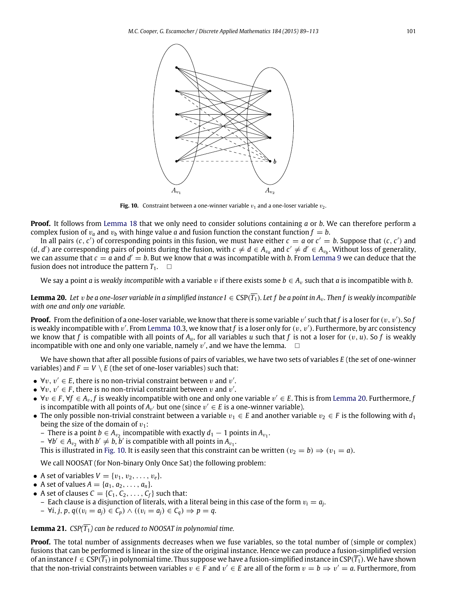<span id="page-12-1"></span>

**Fig. 10.** Constraint between a one-winner variable  $v_1$  and a one-loser variable  $v_2$ .

**Proof.** It follows from [Lemma 18](#page-11-2) that we only need to consider solutions containing *a* or *b*. We can therefore perform a complex fusion of  $v_a$  and  $v_b$  with hinge value *a* and fusion function the constant function  $f = b$ .

In all pairs  $(c, c')$  of corresponding points in this fusion, we must have either  $c = a$  or  $c' = b$ . Suppose that  $(c, c')$  and (*d*, *d'*) are corresponding pairs of points during the fusion, with *c* ≠ *d* ∈ *A*<sub>*va*</sub> and *c'* ≠ *d'* ∈ *A*<sub>*v<sub>b</sub>*</sub>. Without loss of generality, we can assume that  $c = a$  and  $d' = b$ . But we know that *a* was incompatible with *b*. From [Lemma 9](#page-9-3) we can deduce that the fusion does not introduce the pattern  $T_1$ .  $\Box$ 

<span id="page-12-0"></span>We say a point *a* is *weakly incompatible* with a variable *v* if there exists some  $b \in A_v$  such that *a* is incompatible with *b*.

**Lemma 20.** Let *v* be a one-loser variable in a simplified instance I ∈ CSP( $\overline{T_1}$ ). Let f be a point in A<sub>v</sub>. Then f is weakly incompatible *with one and only one variable.*

**Proof.** From the definition of a one-loser variable, we know that there is some variable  $v'$  such that  $f$  is a loser for  $(v, v')$ . So  $f$ is weakly incompatible with  $v'$ . From [Lemma 10.](#page-9-1)3, we know that f is a loser only for  $(v, v')$ . Furthermore, by arc consistency we know that *f* is compatible with all points of  $A<sub>u</sub>$ , for all variables *u* such that *f* is not a loser for  $(v, u)$ . So *f* is weakly incompatible with one and only one variable, namely  $v'$ , and we have the lemma.  $\Box$ 

We have shown that after all possible fusions of pairs of variables, we have two sets of variables *E* (the set of one-winner variables) and  $F = V \setminus E$  (the set of one-loser variables) such that:

- $\forall v, v' \in E$ , there is no non-trivial constraint between v and v'.
- $\forall v, v' \in F$ , there is no non-trivial constraint between v and v'.
- $\bullet$   $\forall v \in F$ ,  $\forall f \in A_v$ , f is weakly incompatible with one and only one variable  $v' \in E$ . This is from [Lemma 20.](#page-12-0) Furthermore, *f* is incompatible with all points of  $A_{v'}$  but one (since  $v' \in E$  is a one-winner variable).
- The only possible non-trivial constraint between a variable  $v_1 \in E$  and another variable  $v_2 \in F$  is the following with  $d_1$ being the size of the domain of  $v_1$ :
	- $-$  There is a point *b* ∈  $A_{v_2}$  incompatible with exactly  $d_1 1$  points in  $A_{v_1}$ .
	- $-$  ∀*b'* ∈  $A_{v_2}$  with *b'*  $\neq$  *b*, *b'* is compatible with all points in  $A_{v_1}$ .

This is illustrated in [Fig. 10.](#page-12-1) It is easily seen that this constraint can be written  $(v_2 = b) \Rightarrow (v_1 = a)$ .

We call NOOSAT (for Non-binary Only Once Sat) the following problem:

- A set of variables  $V = \{v_1, v_2, ..., v_e\}.$
- A set of values  $A = \{a_1, a_2, ..., a_n\}.$
- A set of clauses  $C = \{C_1, C_2, \ldots, C_f\}$  such that:
- $-$  Each clause is a disjunction of literals, with a literal being in this case of the form  $v_i = a_j$ .
- ∀*i*, *j*, *p*, *q*((v*<sup>i</sup>* = *aj*) ∈ *Cp*) ∧ ((v*<sup>i</sup>* = *aj*) ∈ *Cq*) ⇒ *p* = *q*.

# **Lemma 21.** *CSP* $(\overline{T_1})$  *can be reduced to NOOSAT in polynomial time.*

**Proof.** The total number of assignments decreases when we fuse variables, so the total number of (simple or complex) fusions that can be performed is linear in the size of the original instance. Hence we can produce a fusion-simplified version of an instance *I* ∈ CSP( $\overline{T_1}$ ) in polynomial time. Thus suppose we have a fusion-simplified instance in CSP( $\overline{T_1}$ ). We have shown that the non-trivial constraints between variables  $v \in F$  and  $v' \in E$  are all of the form  $v = b \Rightarrow v' = a$ . Furthermore, from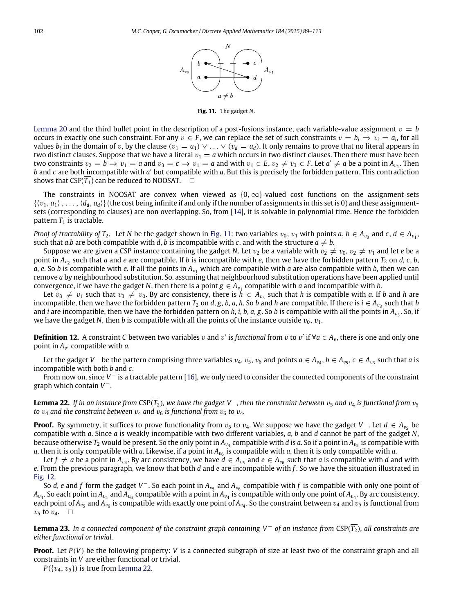

**Fig. 11.** The gadget *N*.

<span id="page-13-0"></span>[Lemma 20](#page-12-0) and the third bullet point in the description of a post-fusions instance, each variable-value assignment  $v = b$ occurs in exactly one such constraint. For any  $v \in F$ , we can replace the set of such constraints  $v = b_i \Rightarrow v_i = a_i$ , for all values  $b_i$  in the domain of v, by the clause  $(v_1 = a_1) \vee \ldots \vee (v_d = a_d)$ . It only remains to prove that no literal appears in two distinct clauses. Suppose that we have a literal  $v_1 = a$  which occurs in two distinct clauses. Then there must have been two constraints  $v_2 = b \Rightarrow v_1 = a$  and  $v_3 = c \Rightarrow v_1 = a$  and with  $v_1 \in E$ ,  $v_2 \neq v_3 \in F$ . Let  $a' \neq a$  be a point in  $A_{v_1}$ . Then b and *c* are both incompatible with *a'* but compatible with *a*. But this is precisely the forbidden pattern. This contradiction shows that  $CSP(\overline{T_1})$  can be reduced to NOOSAT.  $\Box$ 

The constraints in NOOSAT are convex when viewed as  ${0, \infty}$ -valued cost functions on the assignment-sets  $\{\langle v_1, a_1 \rangle, \ldots, \langle d_d, a_d \rangle\}$  (the cost being infinite if and only if the number of assignments in this set is 0) and these assignmentsets (corresponding to clauses) are non overlapping. So, from [\[14\]](#page-24-17), it is solvable in polynomial time. Hence the forbidden pattern  $T_1$  is tractable.

*Proof of tractability of T*<sub>2</sub>. Let *N* be the gadget shown in [Fig. 11:](#page-13-0) two variables  $v_0$ ,  $v_1$  with points  $a, b \in A_{v_0}$  and  $c, d \in A_{v_1}$ , such that *a*,*b* are both compatible with *d*, *b* is incompatible with *c*, and with the structure  $a \neq b$ .

Suppose we are given a CSP instance containing the gadget *N*. Let  $v_2$  be a variable with  $v_2 \neq v_0$ ,  $v_2 \neq v_1$  and let *e* be a point in  $A_{v_2}$  such that *a* and *e* are compatible. If *b* is incompatible with *e*, then we have the forbidden pattern  $T_2$  on *d*, *c*, *b*, *a*, *e*. So *b* is compatible with *e*. If all the points in  $A_{v_1}$  which are compatible with *a* are also compatible with *b*, then we can remove *a* by neighbourhood substitution. So, assuming that neighbourhood substitution operations have been applied until convergence, if we have the gadget *N*, then there is a point  $g \in A_{v_1}$  compatible with *a* and incompatible with *b*.

Let  $v_3 \neq v_1$  such that  $v_3 \neq v_0$ . By arc consistency, there is  $h \in A_{v_3}$  such that *h* is compatible with *a*. If *b* and *h* are incompatible, then we have the forbidden pattern  $T_2$  on *d*, *g*, *b*, *a*, *h*. So *b* and *h* are compatible. If there is  $i \in A_{v_3}$  such that *b* and *i* are incompatible, then we have the forbidden pattern on *h*, *i, b, a, g.* So *b* is compatible with all the points in A<sub>v3</sub>. So, if we have the gadget *N*, then *b* is compatible with all the points of the instance outside  $v_0$ ,  $v_1$ .

**Definition 12.** A constraint *C* between two variables v and v' is functional from v to v' if  $\forall a \in A_v$ , there is one and only one point in  $A_{v'}$  compatible with *a*.

Let the gadget *V*  $^-$  be the pattern comprising three variables  $v_4$ ,  $v_5$ ,  $v_6$  and points  $a \in A_{v_4}$ ,  $b \in A_{v_5}$ ,  $c \in A_{v_6}$  such that  $a$  is incompatible with both *b* and *c*.

From now on, since *V* <sup>−</sup> is a tractable pattern [\[16\]](#page-24-9), we only need to consider the connected components of the constraint graph which contain *V* −.

<span id="page-13-1"></span>**Lemma 22.** *If in an instance from* CSP( $\overline{T_2}$ )*, we have the gadget* V<sup>-</sup>*, then the constraint between*  $v_5$  *and*  $v_4$  *is functional from*  $v_5$ *to*  $v_4$  *and the constraint between*  $v_4$  *and*  $v_6$  *is functional from*  $v_6$  *to*  $v_4$ *.* 

**Proof.** By symmetry, it suffices to prove functionality from  $v_5$  to  $v_4$ . We suppose we have the gadget  $V^-$ . Let  $d \in A_{v_5}$  be compatible with *a*. Since *a* is weakly incompatible with two different variables, *a*, *b* and *d* cannot be part of the gadget *N*, because otherwise  $T_2$  would be present. So the only point in  $A_{\nu_4}$  compatible with  $d$  is  $a.$  So if a point in  $A_{\nu_5}$  is compatible with  $a$ , then it is only compatible with  $a$ . Likewise, if a point in  $A_{v_6}$  is compatible with  $a$ , then it is only compatible with  $a$ .

Let  $f \neq a$  be a point in  $A_{v_4}$ . By arc consistency, we have  $d \in A_{v_5}$  and  $e \in A_{v_6}$  such that  $a$  is compatible with  $d$  and with *e*. From the previous paragraph, we know that both *d* and *e* are incompatible with *f* . So we have the situation illustrated in [Fig. 12.](#page-14-0)

So *d*, *e* and *f* form the gadget *V*<sup>-</sup>. So each point in  $A_{v_5}$  and  $A_{v_6}$  compatible with *f* is compatible with only one point of  $A_{v_4}.$  So each point in  $A_{v_5}$  and  $A_{v_6}$  compatible with a point in  $A_{v_4}$  is compatible with only one point of  $A_{v_4}.$  By arc consistency, each point of  $A_{v_5}$  and  $A_{v_6}$  is compatible with exactly one point of  $A_{v_4}$ . So the constraint between  $v_4$  and  $v_5$  is functional from  $v_5$  to  $v_4$ .  $\Box$ 

**Lemma 23.** *In a connected component of the constraint graph containing V* <sup>−</sup> *of an instance from* CSP(*T*2)*, all constraints are either functional or trivial.*

**Proof.** Let *P*(*V*) be the following property: *V* is a connected subgraph of size at least two of the constraint graph and all constraints in *V* are either functional or trivial.

 $P({v_4,v_5})$  is true from [Lemma 22.](#page-13-1)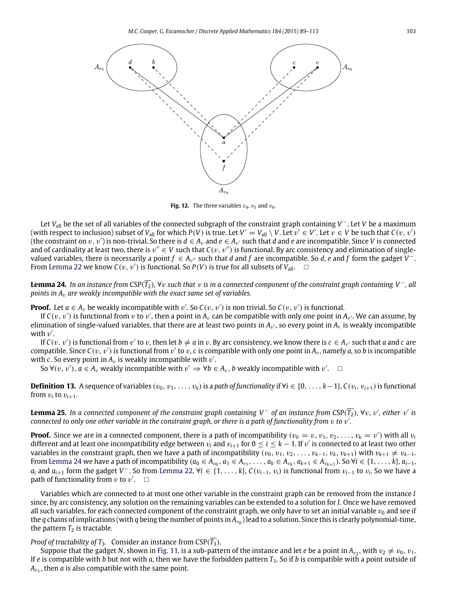<span id="page-14-0"></span>

**Fig. 12.** The three variables  $v_4$ ,  $v_5$  and  $v_6$ .

Let *V*all be the set of all variables of the connected subgraph of the constraint graph containing *V* <sup>−</sup>. Let *V* be a maximum (with respect to inclusion) subset of  $V_{all}$  for which  $P(V)$  is true. Let  $V' = V_{all} \setminus V$ . Let  $v' \in V'$ . Let  $v \in V$  be such that  $C(v, v')$ (the constraint on  $v$ ,  $v'$ ) is non-trivial. So there is  $d \in A_v$  and  $e \in A_{v'}$  such that  $d$  and  $e$  are incompatible. Since V is connected and of cardinality at least two, there is  $v'' \in V$  such that  $C(v, v'')$  is functional. By arc consistency and elimination of singlevalued variables, there is necessarily a point  $f \in A_{v''}$  such that *d* and *f* are incompatible. So *d*, *e* and *f* form the gadget V<sup>-</sup>. From [Lemma 22](#page-13-1) we know  $C(v, v')$  is functional. So  $P(V)$  is true for all subsets of  $\hat{V}_{all}$ .  $\Box$ 

<span id="page-14-1"></span>**Lemma 24.** *In an instance from* CSP( $\overline{T_2}$ ),  $\forall v$  *such that* v *is in a connected component of the constraint graph containing V* −*, all points in A<sub>v</sub> are weakly incompatible with the exact same set of variables.* 

**Proof.** Let  $a \in A_v$  be weakly incompatible with  $v'$ . So  $C(v, v')$  is non trivial. So  $C(v, v')$  is functional.

If  $C(v, v')$  is functional from  $v$  to  $v'$ , then a point in  $A_v$  can be compatible with only one point in  $A_{v'}$ . We can assume, by elimination of single-valued variables, that there are at least two points in  $A_{v'}$ , so every point in  $A_v$  is weakly incompatible with  $v'$ .

If  $C(v, v')$  is functional from  $v'$  to  $v$ , then let  $b \neq a$  in  $v$ . By arc consistency, we know there is  $c \in A_{v'}$  such that  $a$  and  $c$  are compatible. Since  $C(v, v')$  is functional from  $v'$  to  $v, c$  is compatible with only one point in  $A_v$ , namely a, so b is incompatible with c. So every point in  $A_v$  is weakly incompatible with  $v'$ .

So  $\forall (v, v'), a \in A_v$  weakly incompatible with  $v' \Rightarrow \forall b \in A_v$ , *b* weakly incompatible with  $v'$ .

**Definition 13.** A sequence of variables  $(v_0, v_1, \ldots, v_k)$  is a *path of functionality* if  $\forall i \in \{0, \ldots, k-1\}$ ,  $C(v_i, v_{i+1})$  is functional from  $v_i$  to  $v_{i+1}$ .

**Lemma 25.** In a connected component of the constraint graph containing V<sup>-</sup> of an instance from CSP( $\overline{T_2}$ ), ∀v, v', either v' is connected to only one other variable in the constraint graph, or there is a path of functionality from  $v$  to  $v^\prime$ .

**Proof.** Since we are in a connected component, there is a path of incompatibility ( $v_0 = v, v_1, v_2, \ldots, v_k = v'$ ) with all  $v_i$ different and at least one incompatibility edge between  $v_i$  and  $v_{i+1}$  for  $0\leq i\leq k-1$ . If  $v'$  is connected to at least two other variables in the constraint graph, then we have a path of incompatibility  $(v_0, v_1, v_2, \ldots, v_{k-1}, v_k, v_{k+1})$  with  $v_{k+1} \neq v_{k-1}$ . From [Lemma 24](#page-14-1) we have a path of incompatibility  $(a_0 \in A_{v_0}, a_1 \in A_{v_1}, \ldots, a_k \in A_{v_k}, a_{k+1} \in A_{v_{k+1}})$ . So  $\forall i \in \{1, \ldots, k\}, a_{i-1},$ *a*<sub>*i*</sub> and *a*<sub>*i*+1</sub> form the gadget *V*<sup>−</sup>. So from [Lemma 22,](#page-13-1) ∀*i* ∈ {1, . . . , *k*}, *C*(*v*<sub>*i*−1</sub>, *v*<sub>*i*</sub>) is functional from *v*<sub>*i*−1</sub> to *v*<sub>*i*</sub>. So we have a path of functionality from  $v$  to  $v'$ .  $\Box$ 

Variables which are connected to at most one other variable in the constraint graph can be removed from the instance *I* since, by arc consistency, any solution on the remaining variables can be extended to a solution for *I*. Once we have removed all such variables, for each connected component of the constraint graph, we only have to set an initial variable  $v_0$  and see if the  $q$  chains of implications (with  $q$  being the number of points in  $A_{v_0}$ ) lead to a solution. Since this is clearly polynomial-time, the pattern  $T_2$  is tractable.

# *Proof of tractability of T*<sub>3</sub>*.* Consider an instance from CSP( $\overline{T_3}$ ).

Suppose that the gadget N, shown in [Fig. 11,](#page-13-0) is a sub-pattern of the instance and let *e* be a point in  $A_{v_2}$ , with  $v_2 \neq v_0$ ,  $v_1$ . If *e* is compatible with *b* but not with *a*, then we have the forbidden pattern *T*3. So if *b* is compatible with a point outside of  $A_{v_{1}}$ , then  $a$  is also compatible with the same point.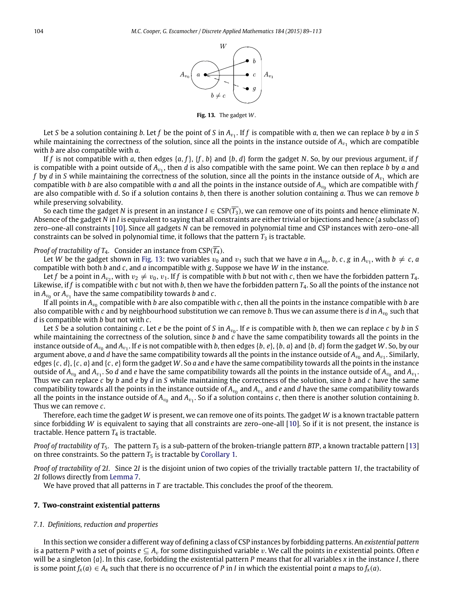

**Fig. 13.** The gadget *W*.

<span id="page-15-1"></span>Let *S* be a solution containing *b*. Let *f* be the point of *S* in  $A_{v_1}$ . If *f* is compatible with *a*, then we can replace *b* by *a* in *S* while maintaining the correctness of the solution, since all the points in the instance outside of  $A_v$ , which are compatible with *b* are also compatible with *a*.

If *f* is not compatible with *a*, then edges {*a*, *f*}, {*f* , *b*} and {*b*, *d*} form the gadget *N*. So, by our previous argument, if *f* is compatible with a point outside of  $A_{v_1}$ , then  $d$  is also compatible with the same point. We can then replace  $b$  by  $a$  and *f* by *d* in *S* while maintaining the correctness of the solution, since all the points in the instance outside of  $A_{v_1}$  which are compatible with *b* are also compatible with *a* and all the points in the instance outside of  $A_{\nu_0}$  which are compatible with *f* are also compatible with *d*. So if a solution contains *b*, then there is another solution containing *a*. Thus we can remove *b* while preserving solvability.

So each time the gadget *N* is present in an instance  $I \in CSP(T_3)$ , we can remove one of its points and hence eliminate *N*. Absence of the gadget *N* in *I* is equivalent to saying that all constraints are either trivial or bijections and hence (a subclass of) zero–one-all constraints [\[10\]](#page-24-16). Since all gadgets *N* can be removed in polynomial time and CSP instances with zero–one-all constraints can be solved in polynomial time, it follows that the pattern  $T_3$  is tractable.

## *Proof of tractability of T<sub>4</sub>.* Consider an instance from  $CSP(\overline{T_4})$ .

Let *W* be the gadget shown in [Fig. 13:](#page-15-1) two variables  $v_0$  and  $v_1$  such that we have *a* in  $A_{v_0}$ , *b*, *c*, *g* in  $A_{v_1}$ , with  $b \neq c$ , *a* compatible with both *b* and *c*, and *a* incompatible with *g*. Suppose we have *W* in the instance.

Let *f* be a point in  $A_{v_2}$ , with  $v_2 \neq v_0$ ,  $v_1$ . If *f* is compatible with *b* but not with *c*, then we have the forbidden pattern  $T_4$ . Likewise, if *f* is compatible with *c* but not with *b*, then we have the forbidden pattern *T*4. So all the points of the instance not in  $A_{v_0}$  or  $A_{v_1}$  have the same compatibility towards *b* and *c*.

If all points in A<sub>v0</sub> compatible with *b* are also compatible with *c*, then all the points in the instance compatible with *b* are also compatible with  $c$  and by neighbourhood substitution we can remove  $b.$  Thus we can assume there is  $d$  in  $A_{v_0}$  such that *d* is compatible with *b* but not with *c*.

Let *S* be a solution containing *c*. Let *e* be the point of *S* in  $A_{v_0}$ . If *e* is compatible with *b*, then we can replace *c* by *b* in *S* while maintaining the correctness of the solution, since *b* and *c* have the same compatibility towards all the points in the instance outside of  $A_{v_0}$  and  $A_{v_1}$ . If *e* is not compatible with *b*, then edges {*b*, *e*}, {*b*, *a*} and {*b*, *d*} form the gadget *W* . So, by our argument above,  $a$  and  $d$  have the same compatibility towards all the points in the instance outside of  $A_{v_0}$  and  $A_{v_1}.$  Similarly, edges  $\{c, d\}$ ,  $\{c, a\}$  and  $\{c, e\}$  form the gadget W. So *a* and *e* have the same compatibility towards all the points in the instance outside of  $A_{v_0}$  and  $A_{v_1}$ . So *d* and *e* have the same compatibility towards all the points in the instance outside of  $A_{v_0}$  and  $A_{v_1}$ . Thus we can replace *c* by *b* and *e* by *d* in *S* while maintaining the correctness of the solution, since *b* and *c* have the same compatibility towards all the points in the instance outside of  $A_{v_0}$  and  $A_{v_1}$  and  $e$  and  $d$  have the same compatibility towards all the points in the instance outside of  $A_{v_0}$  and  $A_{v_1}.$  So if a solution contains *c*, then there is another solution containing *b*. Thus we can remove *c*.

Therefore, each time the gadget *W* is present, we can remove one of its points. The gadget *W* is a known tractable pattern since forbidding *W* is equivalent to saying that all constraints are zero–one-all [\[10\]](#page-24-16). So if it is not present, the instance is tractable. Hence pattern  $T_4$  is tractable.

*Proof of tractability of T<sub>5</sub>*. The pattern  $T_5$  is a sub-pattern of the broken-triangle pattern *BTP*, a known tractable pattern [\[13\]](#page-24-5) on three constraints. So the pattern  $T_5$  is tractable by [Corollary 1.](#page-4-3)

*Proof of tractability of* 2*I.* Since 2*I* is the disjoint union of two copies of the trivially tractable pattern 1*I*, the tractability of 2*I* follows directly from [Lemma 7.](#page-5-2)

We have proved that all patterns in *T* are tractable. This concludes the proof of the theorem.

# <span id="page-15-0"></span>**7. Two-constraint existential patterns**

#### *7.1. Definitions, reduction and properties*

In this section we consider a different way of defining a class of CSP instances by forbidding patterns. An *existential pattern* is a pattern *P* with a set of points  $e \subseteq A_v$  for some distinguished variable v. We call the points in *e* existential points. Often *e* will be a singleton {*a*}. In this case, forbidding the existential pattern *P* means that for all variables *x* in the instance *I*, there is some point  $f_x(a) \in A_x$  such that there is no occurrence of *P* in *I* in which the existential point *a* maps to  $f_x(a)$ .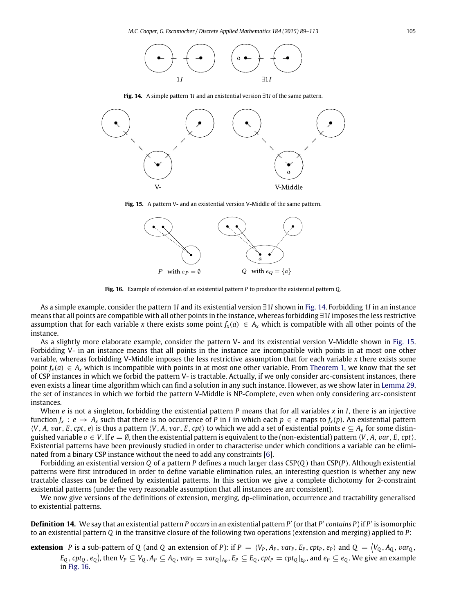

**Fig. 14.** A simple pattern 1*I* and an existential version ∃1*I* of the same pattern.

<span id="page-16-1"></span><span id="page-16-0"></span>

**Fig. 15.** A pattern V- and an existential version V-Middle of the same pattern.



**Fig. 16.** Example of extension of an existential pattern *P* to produce the existential pattern *Q*.

<span id="page-16-2"></span>As a simple example, consider the pattern 1*I* and its existential version ∃1*I* shown in [Fig. 14.](#page-16-0) Forbidding 1*I* in an instance means that all points are compatible with all other points in the instance, whereas forbidding ∃1*I* imposes the less restrictive assumption that for each variable *x* there exists some point  $f_x(a) \in A_x$  which is compatible with all other points of the instance.

As a slightly more elaborate example, consider the pattern V- and its existential version V-Middle shown in [Fig. 15.](#page-16-1) Forbidding V- in an instance means that all points in the instance are incompatible with points in at most one other variable, whereas forbidding V-Middle imposes the less restrictive assumption that for each variable *x* there exists some point  $f_x(a) \in A_x$  which is incompatible with points in at most one other variable. From [Theorem 1,](#page-7-1) we know that the set of CSP instances in which we forbid the pattern V- is tractable. Actually, if we only consider arc-consistent instances, there even exists a linear time algorithm which can find a solution in any such instance. However, as we show later in [Lemma 29,](#page-19-0) the set of instances in which we forbid the pattern V-Middle is NP-Complete, even when only considering arc-consistent instances.

When *e* is not a singleton, forbidding the existential pattern *P* means that for all variables *x* in *I*, there is an injective function  $f_x$ :  $e \to A_x$  such that there is no occurrence of *P* in *I* in which each  $p \in e$  maps to  $f_x(p)$ . An existential pattern  $\langle V, A, var, E, cpt, e \rangle$  is thus a pattern  $\langle V, A, var, E, cpt \rangle$  to which we add a set of existential points  $e \subseteq A_v$  for some distinguished variable  $v \in V$ . If  $e = \emptyset$ , then the existential pattern is equivalent to the (non-existential) pattern  $\langle V, A, var, E, cpt \rangle$ . Existential patterns have been previously studied in order to characterise under which conditions a variable can be eliminated from a binary CSP instance without the need to add any constraints [\[6\]](#page-24-8).

Forbidding an existential version *Q* of a pattern *P* defines a much larger class CSP(*Q*) than CSP(*P*). Although existential patterns were first introduced in order to define variable elimination rules, an interesting question is whether any new tractable classes can be defined by existential patterns. In this section we give a complete dichotomy for 2-constraint existential patterns (under the very reasonable assumption that all instances are arc consistent).

We now give versions of the definitions of extension, merging, dp-elimination, occurrence and tractability generalised to existential patterns.

<span id="page-16-3"></span>**Definition 14.** We say that an existential pattern *P occurs* in an existential pattern *P* ′ (or that *P* ′ *contains P*) if *P* ′ is isomorphic to an existential pattern *Q* in the transitive closure of the following two operations (extension and merging) applied to *P*:

**extension** P is a sub-pattern of Q (and Q an extension of P): if  $P = \langle V_P, A_P, var_P, E_P, cpt_P, e_P \rangle$  and  $Q = \langle V_Q, A_Q, var_Q, e_P \rangle$  $E_Q$  ,  $cpt_Q,e_Q\rangle$ , then  $V_P\subseteq V_Q$  ,  $A_P\subseteq A_Q$  ,  $var_P=var_Q|_{A_P}$  ,  $E_P\subseteq E_Q$  ,  $cpt_P=cpt_Q|_{E_P}$  , and  $e_P\subseteq e_Q$  . We give an example in [Fig. 16.](#page-16-2)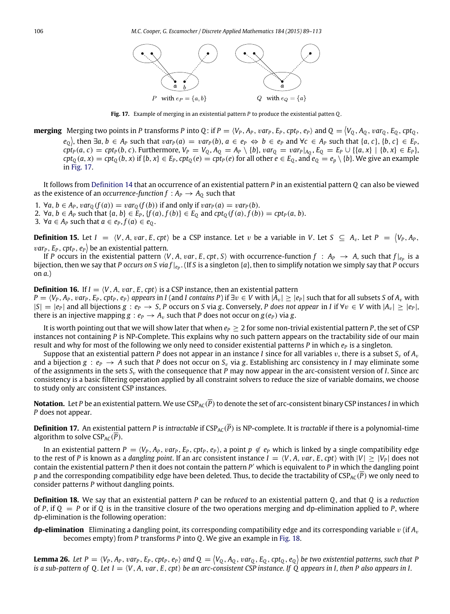

**Fig. 17.** Example of merging in an existential pattern *P* to produce the existential patten *Q*.

<span id="page-17-0"></span>**merging** Merging two points in P transforms P into Q: if  $P = \langle V_P, A_P, var_P, E_P, cpt_P, e_P \rangle$  and  $Q = \langle V_Q, A_Q, var_Q, E_Q, cpt_Q,$  $e_Q$ ), then  $\exists a, b \in A_P$  such that  $var_P(a) = var_P(b)$ ,  $a \in e_P \Leftrightarrow b \in e_P$  and  $\forall c \in A_P$  such that  $\{a, c\}, \{b, c\} \in E_P$ ,  $cpt_P(a, c) = cpt_P(b, c)$ . Furthermore,  $V_P = V_Q$ ,  $A_Q = A_P \setminus \{b\}$ ,  $var_Q = var_P|_{A_Q}$ ,  $E_Q = E_P \cup \{(a, x\} | \{b, x\} \in E_P\}$ ,  $cpt_Q(a,x)=cpt_Q(b,x)$  if  $\{b,x\}\in E_P, cpt_Q(e)=cpt_P(e)$  for all other  $e\in E_Q,$  and  $e_Q=e_p\setminus\{b\}.$  We give an example in [Fig. 17.](#page-17-0)

It follows from [Definition 14](#page-16-3) that an occurrence of an existential pattern *P* in an existential pattern *Q* can also be viewed as the existence of an *occurrence-function*  $f : A_P \to A_O$  such that

- 1. ∀*a*, *b* ∈ *A*<sub>*P*</sub>, *var*<sub>*Q*</sub> (*f*(*a*)) = *var*<sub>*Q*</sub> (*f*(*b*)) if and only if *var*<sub>*P*</sub>(*a*) = *var*<sub>*P*</sub>(*b*).
- 2.  $\forall a, b \in A_P$  such that  $\{a, b\} \in E_P$ ,  $\{f(a), f(b)\} \in E_O$  and  $cpt_O(f(a), f(b)) = cpt_P(a, b)$ .
- 3. ∀*a* ∈ *A*<sup>*P*</sup> such that *a* ∈ *e*<sub>*P*</sub>, *f*(*a*) ∈ *e*<sub>*O*</sub>.

**Definition 15.** Let  $I = \langle V, A, var, E, cpt \rangle$  be a CSP instance. Let v be a variable in V. Let  $S \subseteq A_v$ . Let  $P = \langle V_P, A_P,$  $var_{P}$ ,  $E_{P}$ ,  $cpt_{P}$ ,  $e_{P}$  be an existential pattern.

If *P* occurs in the existential pattern  $\langle V, A, var, E, cpt, S \rangle$  with occurrence-function  $f : A_P \to A$ , such that  $f|_{e_P}$  is a bijection, then we say that *P* occurs on S via  $f|_{e_P}$ . (If S is a singleton {a}, then to simplify notation we simply say that *P* occurs on *a*.)

**Definition 16.** If  $I = \langle V, A, var, E, cpt \rangle$  is a CSP instance, then an existential pattern

 $P = \langle V_P, A_P, var_P, E_P, cpt, e_P \rangle$  appears in I (and I contains P) if  $\exists v \in V$  with  $|A_v| \ge |e_P|$  such that for all subsets S of  $A_v$  with  $|S| = |e_P|$  and all bijections  $g : e_P \to S$ , P occurs on S via g. Conversely, P does not appear in I if  $\forall v \in V$  with  $|A_v| \geq |e_P|$ , there is an injective mapping  $g : e_P \to A_v$  such that *P* does not occur on  $g(e_P)$  via *g*.

It is worth pointing out that we will show later that when  $e_P \geq 2$  for some non-trivial existential pattern *P*, the set of CSP instances not containing *P* is NP-Complete. This explains why no such pattern appears on the tractability side of our main result and why for most of the following we only need to consider existential patterns *P* in which  $e_p$  is a singleton.

Suppose that an existential pattern *P* does not appear in an instance *I* since for all variables v, there is a subset  $S_v$  of  $A_v$ and a bijection  $g : e_P \to A$  such that *P* does not occur on  $S_v$  via g. Establishing arc consistency in *I* may eliminate some of the assignments in the sets  $S_v$  with the consequence that *P* may now appear in the arc-consistent version of *I*. Since arc consistency is a basic filtering operation applied by all constraint solvers to reduce the size of variable domains, we choose to study only arc consistent CSP instances.

**Notation.** Let *P* be an existential pattern. We use CSP<sub>AC</sub>( $\overline{P}$ ) to denote the set of arc-consistent binary CSP instances *I* in which *P* does not appear.

**Definition 17.** An existential pattern *P* is *intractable* if  $CSP_{AC}(\overline{P})$  is NP-complete. It is *tractable* if there is a polynomial-time algorithm to solve  $CSP_{AC}(\overline{P})$ .

In an existential pattern  $P = \langle V_P, A_P, var_P, E_P, cpt_P, e_P \rangle$ , a point  $p \notin e_P$  which is linked by a single compatibility edge to the rest of *P* is known as a *dangling point*. If an arc consistent instance  $I = \langle V, A, \nu a r, E, cpt \rangle$  with  $|V| > |V_P|$  does not contain the existential pattern *P* then it does not contain the pattern *P* ′ which is equivalent to *P* in which the dangling point *p* and the corresponding compatibility edge have been deleted. Thus, to decide the tractability of  $CSP_{AC}(\overline{P})$  we only need to consider patterns *P* without dangling points.

**Definition 18.** We say that an existential pattern *P* can be *reduced* to an existential pattern *Q*, and that *Q* is a *reduction* of *P*, if  $Q = P$  or if  $Q$  is in the transitive closure of the two operations merging and dp-elimination applied to *P*, where dp-elimination is the following operation:

**dp-elimination** Eliminating a dangling point, its corresponding compatibility edge and its corresponding variable v (if *A*<sup>v</sup> becomes empty) from *P* transforms *P* into *Q*. We give an example in [Fig. 18.](#page-18-0)

<span id="page-17-1"></span>**Lemma 26.** Let  $P = \langle V_P, A_P, var_P, E_P, cpt_P, e_P \rangle$  and  $Q = \langle V_Q, A_Q, var_Q, E_Q, cpt_Q, e_Q \rangle$  be two existential patterns, such that  $P$ *is a sub-pattern of Q. Let*  $I = \langle V, A, \text{var}, E, \text{cpt}\rangle$  *be an arc-consistent CSP instance. If Q appears in I, then P also appears in I.*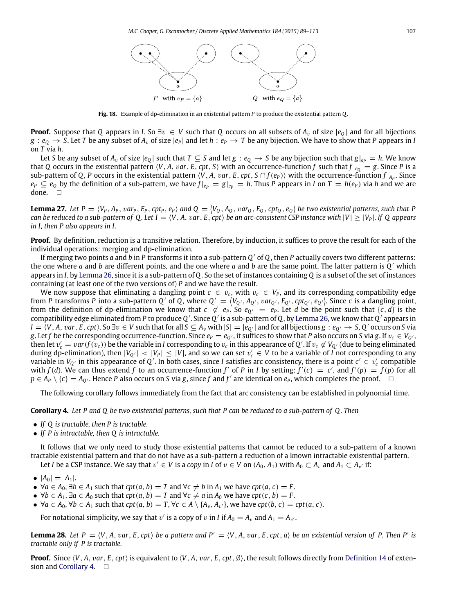

**Fig. 18.** Example of dp-elimination in an existential pattern *P* to produce the existential pattern *Q*.

<span id="page-18-0"></span>**Proof.** Suppose that *Q* appears in *I*. So  $\exists v \in V$  such that *Q* occurs on all subsets of  $A_v$  of size  $|e_0|$  and for all bijections  $g : e_0 \to S$ . Let *T* be any subset of  $A_v$  of size  $|e_P|$  and let  $h : e_P \to T$  be any bijection. We have to show that *P* appears in *I* on *T* via *h*.

Let *S* be any subset of  $A_v$  of size  $|e_0|$  such that  $T \subseteq S$  and let  $g : e_0 \to S$  be any bijection such that  $g|_{e_p} = h$ . We know that *Q* occurs in the existential pattern  $\langle V, A, var, E, cpt, S \rangle$  with an occurrence-function *f* such that  $f|_{e_0} = g$ . Since *P* is a sub-pattern of Q, P occurs in the existential pattern  $\langle V, A, var, E, cpt, S \cap f(e_P) \rangle$  with the occurrence-function  $f|_{A_P}$ . Since  $e_P \subseteq e_O$  by the definition of a sub-pattern, we have  $f|_{e_P} = g|_{e_P} = h$ . Thus P appears in I on  $T = h(e_P)$  via h and we are done.  $\square$ 

**Lemma 27.** Let  $P = \langle V_P, A_P, var_P, E_P, cpt_P, e_P \rangle$  and  $Q = \langle V_Q, A_Q, var_Q, E_Q, cpt_Q, e_Q \rangle$  be two existential patterns, such that  $P$ *can be reduced to a sub-pattern of Q. Let*  $I = \langle V, A, var, E, cpt \rangle$  *be an arc-consistent CSP instance with*  $|V| \geq |V_P|$ *. If Q appears in I, then P also appears in I.*

**Proof.** By definition, reduction is a transitive relation. Therefore, by induction, it suffices to prove the result for each of the individual operations: merging and dp-elimination.

If merging two points *a* and *b* in *P* transforms it into a sub-pattern *Q* ′ of *Q*, then *P* actually covers two different patterns: the one where *a* and *b* are different points, and the one where *a* and *b* are the same point. The latter pattern is *Q* ′ which appears in *I*, by [Lemma 26,](#page-17-1) since it is a sub-pattern of *Q*. So the set of instances containing *Q* is a subset of the set of instances containing (at least one of the two versions of) *P* and we have the result.

We now suppose that eliminating a dangling point  $c \in v_c$ , with  $v_c \in V_P$ , and its corresponding compatibility edge from P transforms P into a sub-pattern Q' of Q, where  $Q' = (V_{Q'}, A_{Q'}, \nu a r_{Q'}, E_{Q'}, c p t_{Q'}, e_{Q'})$ . Since c is a dangling point, from the definition of dp-elimination we know that  $c \notin e_P$ . So  $e_{Q'} = e_P$ . Let *d* be the point such that  $\{c, d\}$  is the compatibility edge eliminated from *P* to produce *Q* ′ . Since *Q* ′ is a sub-pattern of *Q*, by [Lemma 26,](#page-17-1) we know that *Q* ′ appears in  $I=\overline{\langle V,A,\,var,E,\,cpt\rangle}.$  So  $\exists v\in V$  such that for all  $S\subseteq A_v$  with  $|S|=|e_{Q'}|$  and for all bijections  $g:e_{Q'}\to S,Q'$  occurs on  $S$  via *g*. Let *f* be the corresponding occurrence-function. Since  $e_P = e_Q$ , it suffices to show that *P* also occurs on *S* via *g*. If  $v_c \in V_Q$ , then let  $v_c' = var(f(v_c))$  be the variable in *I* corresponding to  $v_c$  in this appearance of Q'. If  $v_c \not\in V_{Q'}$  (due to being eliminated during dp-elimination), then  $|V_{Q'}| < |V_P| \leq |V|$ , and so we can set  $v_c' \in V$  to be a variable of *I* not corresponding to any variable in  $V_{Q'}$  in this appearance of  $Q'$ . In both cases, since *I* satisfies arc consistency, there is a point  $c' \in v_c'$  compatible with  $f(d)$ . We can thus extend  $f$  to an occurrence-function  $f'$  of  $P$  in  $I$  by setting:  $f'(c) = c'$ , and  $f'(p) = f(p)$  for all *p* ∈ *A*<sub>*P*</sub>  $\setminus$  {*c*} = *A*<sub>Q</sub><sup> $\cdot$ </sup>. Hence *P* also occurs on *S* via *g*, since *f* and *f*<sup> $\prime$ </sup> are identical on *e*<sub>*P*</sub>, which completes the proof. □

<span id="page-18-1"></span>The following corollary follows immediately from the fact that arc consistency can be established in polynomial time.

**Corollary 4.** *Let P and Q be two existential patterns, such that P can be reduced to a sub-pattern of Q . Then*

- *If Q is tractable, then P is tractable.*
- *If P is intractable, then Q is intractable.*

It follows that we only need to study those existential patterns that cannot be reduced to a sub-pattern of a known tractable existential pattern and that do not have as a sub-pattern a reduction of a known intractable existential pattern. Let *I* be a CSP instance. We say that  $v' \in V$  is a *copy* in *I* of  $v \in V$  on  $(A_0, A_1)$  with  $A_0 \subset A_v$  and  $A_1 \subset A_{v'}$  if:

- $|A_0| = |A_1|$ .
- $\forall a \in A_0, \exists b \in A_1 \text{ such that } \text{cpt}(a, b) = T \text{ and } \forall c \neq b \text{ in } A_1 \text{ we have } \text{cpt}(a, c) = F.$
- $\forall b \in A_1, \exists a \in A_0 \text{ such that } \text{cpt}(a, b) = T \text{ and } \forall c \neq a \text{ in } A_0 \text{ we have } \text{cpt}(c, b) = F.$
- $\forall a \in A_0$ ,  $\forall b \in A_1$  such that  $cpt(a, b) = T$ ,  $\forall c \in A \setminus \{A_v, A_{v'}\}$ , we have  $cpt(b, c) = cpt(a, c)$ .

<span id="page-18-2"></span>For notational simplicity, we say that  $v'$  is a copy of  $v$  in *I* if  $A_0 = A_v$  and  $A_1 = A_{v'}$ .

**Lemma 28.** Let  $P = \langle V, A, var, E, cpt \rangle$  be a pattern and  $P' = \langle V, A, var, E, cpt, a \rangle$  be an existential version of P. Then P' is *tractable only if P is tractable.*

**Proof.** Since  $\langle V, A, var, E, cpt \rangle$  is equivalent to  $\langle V, A, var, E, cpt, \emptyset \rangle$ , the result follows directly from [Definition 14](#page-16-3) of exten-sion and [Corollary 4.](#page-18-1)  $\square$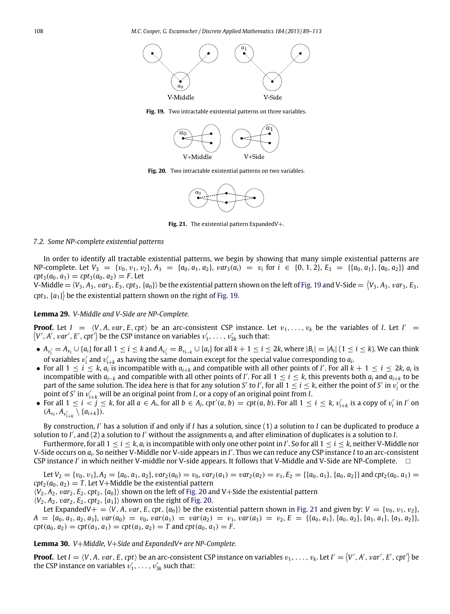<span id="page-19-1"></span>

<span id="page-19-2"></span>**Fig. 19.** Two intractable existential patterns on three variables.



**Fig. 20.** Two intractable existential patterns on two variables.



**Fig. 21.** The existential pattern ExpandedV+.

# <span id="page-19-3"></span>*7.2. Some NP-complete existential patterns*

In order to identify all tractable existential patterns, we begin by showing that many simple existential patterns are  $NP$ -complete. Let  $V_3 = \{v_0, v_1, v_2\}$ ,  $A_3 = \{a_0, a_1, a_2\}$ ,  $var_3(a_i) = v_i$  for  $i \in \{0, 1, 2\}$ ,  $E_3 = \{\{a_0, a_1\}, \{a_0, a_2\}\}\$  and  $cpt_3(a_0, a_1) = cpt_3(a_0, a_2) = F$ . Let

V-Middle =  $\langle V_3, A_3, var_3, E_3, cpt_3, \{a_0\} \rangle$  be the existential pattern shown on the left of [Fig. 19](#page-19-1) and V-Side =  $\langle V_3, A_3, var_3, E_3,$  $\langle \mathit{cpt}_3, \{a_1\} \rangle$  be the existential pattern shown on the right of [Fig. 19.](#page-19-1)

## <span id="page-19-0"></span>**Lemma 29.** *V-Middle and V-Side are NP-Complete.*

**Proof.** Let  $I = \langle V, A, var, E, cpt \rangle$  be an arc-consistent CSP instance. Let  $v_1, \ldots, v_k$  be the variables of *I*. Let  $I' =$  $\big\langle V',A',\,var',E',\mathit{cpt'}\big\rangle$  be the CSP instance on variables  $v'_1,\,\ldots,\,v'_{2k}$  such that:

- $\bullet$   $A_{v'_i} = A_{v_i} \cup \{a_i\}$  for all  $1 \leq i \leq k$  and  $A_{v'_i} = B_{v_{i-k}} \cup \{a_i\}$  for all  $k+1 \leq i \leq 2k$ , where  $|B_i| = |A_i|$  (  $1 \leq i \leq k$ ). We can think of variables  $v'_i$  and  $v'_{i+k}$  as having the same domain except for the special value corresponding to  $a_i$ .
- For all  $1 \le i \le k$ ,  $a_i$  is incompatible with  $a_{i+k}$  and compatible with all other points of *I'*. For all  $k+1 \le i \le 2k$ ,  $a_i$  is incompatible with  $a_{i-k}$  and compatible with all other points of *I'*. For all 1 ≤ *i* ≤ *k*, this prevents both  $a_i$  and  $a_{i+k}$  to be part of the same solution. The idea here is that for any solution *S'* to *I'*, for all  $1 \le i \le k$ , either the point of *S'* in  $v_i'$  or the point of *S* ′ in v ′ *<sup>i</sup>*+*<sup>k</sup>* will be an original point from *I*, or a copy of an original point from *I*.
- For all  $1 \le i \le j \le k$ , for all  $a \in A_i$ , for all  $b \in A_j$ ,  $cpt'(a, b) = cpt(a, b)$ . For all  $1 \le i \le k$ ,  $v'_{i+k}$  is a copy of  $v'_i$  in I' on  $(A_{v_i}, A_{v'_{i+k}} \setminus \{a_{i+k}\}).$

By construction, *I'* has a solution if and only if *I* has a solution, since (1) a solution to *I* can be duplicated to produce a solution to *I'*, and (2) a solution to *I'* without the assignments  $a_i$  and after elimination of duplicates is a solution to *I*.

Furthermore, for all  $1 \le i \le k$ ,  $a_i$  is incompatible with only one other point in *I'*. So for all  $1 \le i \le k$ , neither V-Middle nor V-Side occurs on *a<sup>i</sup>* . So neither V-Middle nor V-side appears in *I* ′ . Thus we can reduce any CSP instance *I* to an arc-consistent CSP instance *I'* in which neither V-middle nor V-side appears. It follows that V-Middle and V-Side are NP-Complete. □

Let  $V_2 = \{v_0, v_1\}$ ,  $A_2 = \{a_0, a_1, a_2\}$ ,  $var_2(a_0) = v_0$ ,  $var_2(a_1) = var_2(a_2) = v_1$ ,  $E_2 = \{\{a_0, a_1\}$ ,  $\{a_0, a_2\}\}\$  and  $cpt_2(a_0, a_1) =$  $cpt_2(a_0, a_2) = T$ . Let V+Middle be the existential pattern

 $\langle V_2, A_2, var_2, E_2, cpt_2, \{a_0\} \rangle$  shown on the left of [Fig. 20](#page-19-2) and V+Side the existential pattern  $\langle V_2, A_2, \text{var}_2, E_2, \text{cpt}_2, \{a_1\} \rangle$  shown on the right of [Fig. 20.](#page-19-2)

Let ExpandedV+ =  $\langle V, A, var, E, cpt, \{a_0\}\rangle$  be the existential pattern shown in [Fig. 21](#page-19-3) and given by:  $V = \{v_0, v_1, v_2\}$ ,  $A = \{a_0, a_1, a_2, a_3\}, \text{var}(a_0) = v_0, \text{var}(a_1) = \text{var}(a_2) = v_1, \text{var}(a_3) = v_2, E = \{\{a_0, a_1\}, \{a_0, a_2\}, \{a_3, a_1\}, \{a_3, a_2\}\},$  $cpt(a_0, a_2) = cpt(a_3, a_1) = cpt(a_3, a_2) = T$  and  $cpt(a_0, a_1) = F$ .

<span id="page-19-4"></span>**Lemma 30.** *V*+*Middle, V*+*Side and ExpandedV+ are NP-Complete.*

**Proof.** Let  $I = \langle V, A, var, E, cpt \rangle$  be an arc-consistent CSP instance on variables  $v_1, \ldots, v_k$ . Let  $I' = \langle V', A', var', E', cpt' \rangle$  be the CSP instance on variables  $v'_1, \ldots, v'_{3k}$  such that: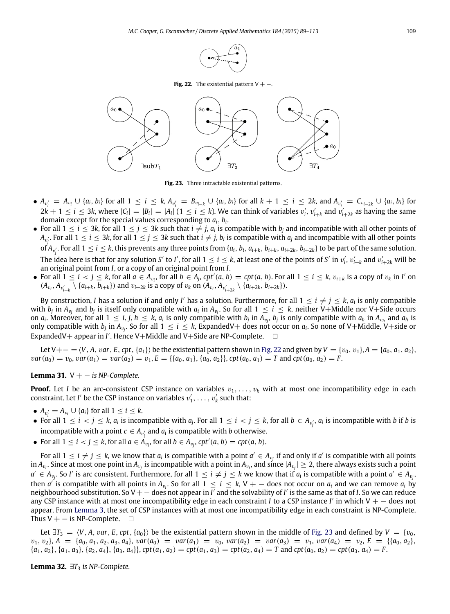

**Fig. 22.** The existential pattern  $V + -$ .

<span id="page-20-1"></span><span id="page-20-0"></span>

**Fig. 23.** Three intractable existential patterns.

- $A_{v_i'} = A_{v_i} \cup \{a_i, b_i\}$  for all  $1 \le i \le k$ ,  $A_{v_i'} = B_{v_{i-k}} \cup \{a_i, b_i\}$  for all  $k + 1 \le i \le 2k$ , and  $A_{v_i'} = C_{v_{i-2k}} \cup \{a_i, b_i\}$  for  $2k+1 \leq i \leq 3k$ , where  $|C_i| = |B_i| = |A_i| (1 \leq i \leq k)$ . We can think of variables  $v'_i$ ,  $v'_{i+k}$  and  $v'_{i+2k}$  as having the same domain except for the special values corresponding to *ai*, *b<sup>i</sup>* .
- For all  $1 \le i \le 3k$ , for all  $1 \le j \le 3k$  such that  $i \ne j$ ,  $a_i$  is compatible with  $b_j$  and incompatible with all other points of  $A_{v'_j}$ . For all  $1\leq i\leq 3$ k, for all  $1\leq j\leq 3$ k such that  $i\neq j$ ,  $b_i$  is compatible with  $a_j$  and incompatible with all other points of  $A_{v_i'}$ . For all  $1\leq i\leq k$ , this prevents any three points from  $\{a_i,\,b_i,\,a_{i+k},\,b_{i+k},\,a_{i+2k},\,b_{i+2k}\}$  to be part of the same solution. The idea here is that for any solution *S'* to *I'*, for all  $1 \le i \le k$ , at least one of the points of *S'* in  $v'_i$ ,  $v'_{i+k}$  and  $v'_{i+2k}$  will be an original point from *I*, or a copy of an original point from *I*.
- For all  $1 \le i < j \le k$ , for all  $a \in A_{v_i}$ , for all  $b \in A_j$ ,  $cpt'(a, b) = cpt(a, b)$ . For all  $1 \le i \le k$ ,  $v_{i+k}$  is a copy of  $v_k$  in I' on  $(A_{v_i}, A_{v'_{i+k}} \setminus \{a_{i+k}, b_{i+k}\})$  and  $v_{i+2k}$  is a copy of  $v_k$  on  $(A_{v_i}, A_{v'_{i+2k}} \setminus \{a_{i+2k}, b_{i+2k}\})$ .

By construction, *I* has a solution if and only *I'* has a solution. Furthermore, for all  $1\leq i\neq j\leq k$ ,  $a_i$  is only compatible with  $b_j$  in  $A_{v_j}$  and  $b_j$  is itself only compatible with  $a_i$  in  $A_{v_i}$ . So for all  $1 \le i \le k$ , neither V+Middle nor V+Side occurs on  $a_i$ . Moreover, for all  $1 \le i,j,h \le k$ ,  $a_i$  is only compatible with  $b_j$  in  $A_{v_j}$ ,  $b_j$  is only compatible with  $a_h$  in  $A_{v_h}$  and  $a_h$  is only compatible with  $b_j$  in  $A_{v_j}$ . So for all  $1\leq i\leq k$ , ExpandedV+ does not occur on  $a_i$ . So none of V+Middle, V+side or ExpandedV+ appear in *I'*. Hence V+Middle and V+Side are NP-Complete.  $\square$ 

Let V+− =  $\langle V, A, var, E, cpt, {a_1} \rangle$  be the existential pattern shown in [Fig. 22](#page-20-0) and given by  $V = {v_0, v_1}, A = {a_0, a_1, a_2},$  $var(a_0) = v_0$ ,  $var(a_1) = var(a_2) = v_1$ ,  $E = \{\{a_0, a_1\}, \{a_0, a_2\}\}\$ ,  $cpt(a_0, a_1) = T$  and  $cpt(a_0, a_2) = F$ .

<span id="page-20-2"></span>**Lemma 31.**  $V + -$  *is NP-Complete.* 

**Proof.** Let *I* be an arc-consistent CSP instance on variables  $v_1, \ldots, v_k$  with at most one incompatibility edge in each constraint. Let *I'* be the CSP instance on variables  $v'_1, \ldots, v'_k$  such that:

- $A_{v_i'} = A_{v_i} \cup \{a_i\}$  for all  $1 \le i \le k$ .
- For all  $1 \le i \le j \le k$ ,  $a_i$  is incompatible with  $a_j$ . For all  $1 \le i \le j \le k$ , for all  $b \in A_{v'_j}$ ,  $a_i$  is incompatible with b if b is incompatible with a point  $c \in A_{v_i'}$  and  $a_i$  is compatible with *b* otherwise.
- For all  $1 \leq i < j \leq k$ , for all  $a \in A_{v_i}$ , for all  $b \in A_{v_j}$ ,  $cpt'(a, b) = cpt(a, b)$ .

For all  $1 \le i \ne j \le k$ , we know that  $a_i$  is compatible with a point  $a' \in A_{v_j}$  if and only if  $a'$  is compatible with all points in  $A_{v_i}$ . Since at most one point in  $A_{v_j}$  is incompatible with a point in  $A_{v_i}$ , and since  $|A_{v_j}|\geq 2$ , there always exists such a point  $a' \in A_{v_j}$ . So *I'* is arc consistent. Furthermore, for all  $1 \leq i \neq j \leq k$  we know that if  $a_i$  is compatible with a point  $a' \in A_{v_j}$ , then  $a'$  is compatible with all points in  $A_{v_i}$ . So for all  $1 \leq i \leq k$ , V  $+$   $-$  does not occur on  $a_i$  and we can remove  $a_i$  by neighbourhood substitution. So V + − does not appear in *I'* and the solvability of *I'* is the same as that of *I*. So we can reduce any CSP instance with at most one incompatibility edge in each constraint *I* to a CSP instance *I* ′ in which V + − does not appear. From [Lemma 3,](#page-4-2) the set of CSP instances with at most one incompatibility edge in each constraint is NP-Complete. Thus  $V + -$  is NP-Complete.  $\square$ 

Let  $\exists T_3 = \langle V, A, var, E, cpt, \{a_0\}\rangle$  be the existential pattern shown in the middle of [Fig. 23](#page-20-1) and defined by  $V = \{v_0, v_1, v_2, v_3, v_4, v_5, v_6, v_7, v_8, v_{10}\}$  $v_1, v_2$ ,  $A = \{a_0, a_1, a_2, a_3, a_4\}$ ,  $var(a_0) = var(a_1) = v_0$ ,  $var(a_2) = var(a_3) = v_1$ ,  $var(a_4) = v_2$ ,  $E = \{\{a_0, a_2\}$ ,  $\{a_1, a_2\}, \{a_1, a_3\}, \{a_2, a_4\}, \{a_3, a_4\}\$ ,  $\text{cpt}(a_1, a_2) = \text{cpt}(a_1, a_3) = \text{cpt}(a_2, a_4) = T$  and  $\text{cpt}(a_0, a_2) = \text{cpt}(a_3, a_4) = F$ .

**Lemma 32.**  $\exists T_3$  *is NP-Complete.*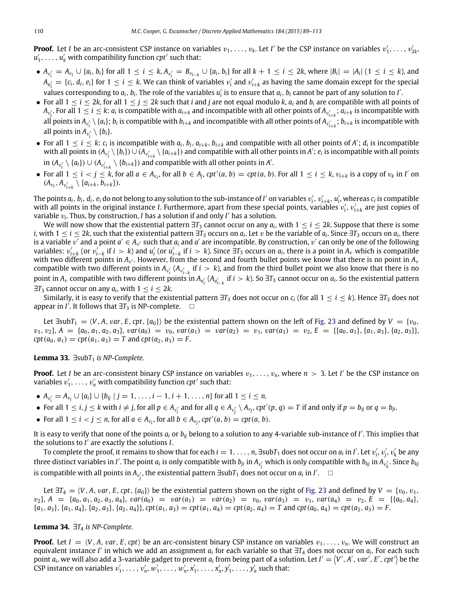**Proof.** Let *I* be an arc-consistent CSP instance on variables  $v_1, \ldots, v_k$ . Let *I'* be the CSP instance on variables  $v'_1, \ldots, v'_{2k}$  $u'_1, \ldots, u'_k$  with compatibility function *cpt'* such that:

- $A_{v_i'} = A_{v_i} \cup \{a_i, b_i\}$  for all  $1 \le i \le k$ ,  $A_{v_i'} = B_{v_{i-k}} \cup \{a_i, b_i\}$  for all  $k + 1 \le i \le 2k$ , where  $|B_i| = |A_i|$   $(1 \le i \le k)$ , and  $A_{u_i'} = \{c_i, d_i, e_i\}$  for  $1 \le i \le k$ . We can think of variables  $v_i'$  and  $v_{i+k}'$  as having the same domain except for the special values corresponding to  $a_i$ ,  $b_i$ . The role of the variables  $u'_i$  is to ensure that  $a_i$ ,  $b_i$  cannot be part of any solution to *I'*.
- For all  $1 \le i \le 2k$ , for all  $1 \le j \le 2k$  such that *i* and *j* are not equal modulo *k*,  $a_i$  and  $b_i$  are compatible with all points of  $A_{v'_j}$ . For all  $1\leq i\leq k$ :  $a_i$  is compatible with  $a_{i+k}$  and incompatible with all other points of  $A_{v'_{i+k}}$ ;  $a_{i+k}$  is incompatible with all points in  $A_{v_i'}\setminus\{a_i\};$   $b_i$  is compatible with  $b_{i+k}$  and incompatible with all other points of  $A_{v_{i+k}'}$ ;  $b_{i+k}$  is incompatible with all points in  $A_{v'_i} \setminus \{b_i\}.$
- For all  $1 \le i \le k$ :  $c_i$  is incompatible with  $a_i$ ,  $b_i$ ,  $a_{i+k}$ ,  $b_{i+k}$  and compatible with all other points of A';  $d_i$  is incompatible with all points in  $(A_{v'_i} \setminus \{b_i\}) \cup (A_{v'_{i+k}} \setminus \{a_{i+k}\})$  and compatible with all other points in A';  $e_i$  is incompatible with all points  $\text{in } (A_{v'_i} \setminus \{a_i\}) \cup (A_{v'_{i+k}} \setminus \{b_{i+k}\})$  and compatible with all other points in *A'*.
- For all  $1 \le i < j \le k$ , for all  $a \in A_{v_i}$ , for all  $b \in A_j$ ,  $cpt'(a, b) = cpt(a, b)$ . For all  $1 \le i \le k$ ,  $v_{i+k}$  is a copy of  $v_k$  in I' on  $(A_{v_i}, A_{v'_{i+k}} \setminus \{a_{i+k}, b_{i+k}\}).$

The points  $a_i$ ,  $b_i$ ,  $d_i$ ,  $e_i$  do not belong to any solution to the sub-instance of  $I'$  on variables  $v'_i,$   $v'_{i+k},$   $u'_i$ , whereas  $c_i$  is compatible with all points in the original instance *I*. Furthermore, apart from these special points, variables  $v'_i$ ,  $v'_{i+k}$  are just copies of variable  $v_i$ . Thus, by construction, *I* has a solution if and only *I'* has a solution.

We will now show that the existential pattern  $\exists T_3$  cannot occur on any  $a_i$ , with  $1\leq i\leq 2k$ . Suppose that there is some *i*, with 1  $\leq$  *i*  $\leq$  2*k*, such that the existential pattern ∃T<sub>3</sub> occurs on  $a_i$ . Let  $v$  be the variable of  $a_i$ . Since ∃T<sub>3</sub> occurs on  $a_i$ , there is a variable  $\overline{v'}$  and a point  $a'\in A_{v'}$  such that  $a_i$  and  $a'$  are incompatible. By construction,  $v'$  can only be one of the following variables:  $v'_{i+k}$  (or  $v'_{i-k}$  if  $i > k$ ) and  $u'_i$  (or  $u'_{i-k}$  if  $i > k$ ). Since  $\exists T_3$  occurs on  $a_i$ , there is a point in  $A_v$  which is compatible with two different points in  $A_{\nu'}$ . However, from the second and fourth bullet points we know that there is no point in  $A_{\nu}$ compatible with two different points in  $A_{v_i'}$  ( $A_{v_{i-k}'}$  if  $i > k$ ), and from the third bullet point we also know that there is no point in  $A_v$  compatible with two different points in  $A_{u'_i}$  ( $A_{u'_{i-k}}$  if  $i > k$ ). So  $\exists T_3$  cannot occur on  $a_i$ . So the existential pattern  $\exists T_3$  cannot occur on any  $a_i$ , with  $1 \leq i \leq 2k$ .

Similarly, it is easy to verify that the existential pattern  $\exists T_3$  does not occur on  $c_i$  (for all  $1 \le i \le k$ ). Hence  $\exists T_3$  does not appear in *I'*. It follows that  $\exists T_3$  is NP-complete.  $\square$ 

Let  $\exists$ sub $T_1 = \langle V, A, var, E, cpt, \{a_0\}\rangle$  be the existential pattern shown on the left of [Fig. 23](#page-20-1) and defined by  $V = \{v_0, V_0, w_0\}$  $v_1, v_2$ ,  $A = \{a_0, a_1, a_2, a_3\}$ ,  $var(a_0) = v_0$ ,  $var(a_1) = var(a_2) = v_1$ ,  $var(a_3) = v_2$ ,  $E = \{\{a_0, a_1\}, \{a_1, a_3\}, \{a_2, a_3\}\}$  $cpt(a_0, a_1) = cpt(a_1, a_3) = T$  and  $cpt(a_2, a_3) = F$ .

#### <span id="page-21-0"></span>**Lemma 33.**  $∃subT₁$  *is NP-Complete.*

**Proof.** Let *I* be an arc-consistent binary CSP instance on variables  $v_1, \ldots, v_n$ , where  $n > 3$ . Let *I'* be the CSP instance on variables  $v'_1, \ldots, v'_n$  with compatibility function *cpt'* such that:

- $A_{v_i'} = A_{v_i} \cup \{a_i\} \cup \{b_{ij} \mid j = 1, \ldots, i-1, i+1, \ldots, n\}$  for all  $1 \le i \le n$ .
- For all  $1 \le i,j \le k$  with  $i \ne j$ , for all  $p \in A_{v'_i}$  and for all  $q \in A_{v'_j} \setminus A_{v_j}$ ,  $cpt'(p,q) = T$  if and only if  $p = b_{ij}$  or  $q = b_{ji}$ .
- For all  $1 \leq i < j \leq n$ , for all  $a \in A_{v_i}$ , for all  $b \in A_{v_j}$ ,  $cpt'(a, b) = cpt(a, b)$ .

It is easy to verify that none of the points *a<sup>i</sup>* or *bij* belong to a solution to any 4-variable sub-instance of *I* ′ . This implies that the solutions to *I* ′ are exactly the solutions *I*.

To complete the proof, it remains to show that for each  $i=1,\ldots,n$ ,  $\exists \text{sub} T_1$  does not occur on  $a_i$  in *I'*. Let  $v'_i, v'_j, v'_k$  be any three distinct variables in I'. The point  $a_i$  is only compatible with  $b_{ji}$  in  $A_{v'_j}$  which is only compatible with  $b_{kj}$  in  $A_{v'_k}$ . Since  $b_{kj}$ is compatible with all points in  $A_{v'_j}$ , the existential pattern ∃sub $T_1$  does not occur on  $a_i$  in *I'*.  $□$ 

Let  $\exists T_4 = \langle V, A, \text{var}, E, \text{cpt}, \{a_0\} \rangle$  be the existential pattern shown on the right of [Fig. 23](#page-20-1) and defined by  $V = \{v_0, v_1, v_2, v_3, v_4, v_5, v_6, v_7, v_8, v_{10}\}$  $v_2$ ,  $A = \{a_0, a_1, a_2, a_3, a_4\}$ ,  $var(a_0) = var(a_1) = var(a_2) = v_0$ ,  $var(a_3) = v_1$ ,  $var(a_4) = v_2$ ,  $E = \{\{a_0, a_4\}, \{a_1, a_2, a_3, a_4\}, \{a_2, a_3, a_4\}\}$  $\{a_1, a_3\}, \{a_1, a_4\}, \{a_2, a_3\}, \{a_2, a_4\}\},\text{cpt}(a_1, a_3) = \text{cpt}(a_1, a_4) = \text{cpt}(a_2, a_4) = T \text{ and } \text{cpt}(a_0, a_4) = \text{cpt}(a_2, a_3) = F.$ 

#### <span id="page-21-1"></span>**Lemma 34.**  $\exists T_4$  *is NP-Complete.*

**Proof.** Let  $I = \langle V, A, \text{var}, E, \text{cpt} \rangle$  be an arc-consistent binary CSP instance on variables  $v_1, \ldots, v_n$ . We will construct an equivalent instance *I'* in which we add an assignment *a*<sub>*i*</sub> for each variable so that ∃T<sub>4</sub> does not occur on *a*<sub>*i*</sub>. For each such point  $a_i$ , we will also add a 3-variable gadget to prevent  $a_i$  from being part of a solution. Let  $I' = \langle V', A', \text{var}', E', \text{cpt}' \rangle$  be the CSP instance on variables  $v'_1, \ldots, v'_n, w'_1, \ldots, w'_n, x'_1, \ldots, x'_n, y'_1, \ldots, y'_n$  such that: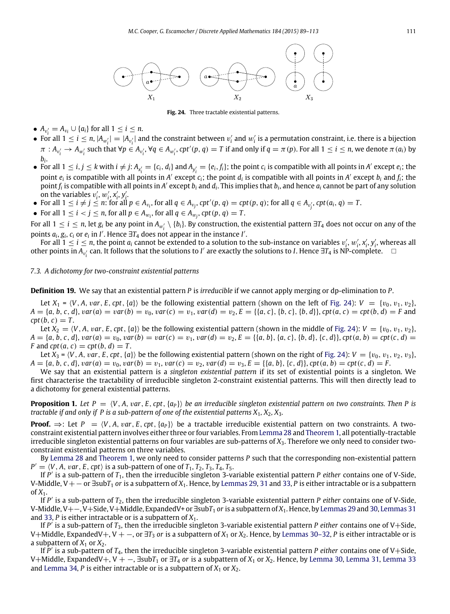<span id="page-22-0"></span>

**Fig. 24.** Three tractable existential patterns.

- $A_{v_i'} = A_{v_i} \cup \{a_i\}$  for all  $1 \leq i \leq n$ .
- For all  $1 \le i \le n$ ,  $|A_{w'_i}| = |A_{v'_i}|$  and the constraint between  $v'_i$  and  $w'_i$  is a permutation constraint, i.e. there is a bijection  $\pi: A_{v_i'} \to A_{w_i'}$  such that  $\forall p \in A_{v_i'}$ ,  $\forall q \in A_{w_i'}$ ,  $cpt'(p, q) = T$  if and only if  $q = \pi(p)$ . For all  $1 \le i \le n$ , we denote  $\pi(a_i)$  by *bi* .
- For all  $1 \le i, j \le k$  with  $i \ne j$ :  $A_{x_i'} = \{c_i, d_i\}$  and  $A_{y_i'} = \{e_i, f_i\}$ ; the point  $c_i$  is compatible with all points in A' except  $e_i$ ; the point  $e_i$  is compatible with all points in A' except  $c_i$ ; the point  $d_i$  is compatible with all points in A' except  $b_i$  and  $f_i$ ; the  $\tilde{f}_i$  is compatible with all points in A' except  $b_i$  and  $d_i$ . This implies that  $b_i$ , and hence  $a_i$  cannot be part of any solution on the variables  $v'_i$ ,  $w'_i$ ,  $x'_i$ ,  $y'_i$ .<br>• For all  $1 \le i \ne j \le n$ : for all  $p \in A_{v_i}$ , for all  $q \in A_{v_j}$ ,  $cpt'(p, q) = cpt(p, q)$ ; for all  $q \in A_{v'_j}$ ,  $cpt(a_i, q) = T$ .
- 
- For all  $1 \leq i < j \leq n$ , for all  $p \in A_{w_i}$ , for all  $q \in A_{w_j}$ ,  $cpt(p, q) = T$ .

For all  $1 \le i \le n$ , let  $g_i$  be any point in  $A_{w'_i} \setminus \{b_i\}$ . By construction, the existential pattern  $\exists T_4$  does not occur on any of the points  $a_i$ ,  $g_i$ ,  $c_i$  or  $e_i$  in *I'*. Hence  $\exists T_4$  does not appear in the instance *I'*.

For all  $1 \le i \le n$ , the point  $a_i$  cannot be extended to a solution to the sub-instance on variables  $v'_i$ ,  $w'_i$ ,  $x'_i$ ,  $y'_i$ , whereas all other points in  $A_{v_i'}$  can. It follows that the solutions to *I'* are exactly the solutions to *I*. Hence ∃*T*<sub>4</sub> is NP-complete.  $□$ 

## *7.3. A dichotomy for two-constraint existential patterns*

**Definition 19.** We say that an existential pattern *P* is *irreducible* if we cannot apply merging or dp-elimination to *P*.

Let  $X_1 = \langle V, A, var, E, cpt, \{a\}\rangle$  be the following existential pattern (shown on the left of [Fig. 24\)](#page-22-0):  $V = \{v_0, v_1, v_2\}$ ,  $A = \{a, b, c, d\}$ ,  $var(a) = var(b) = v_0$ ,  $var(c) = v_1$ ,  $var(d) = v_2$ ,  $E = \{\{a, c\}, \{b, c\}, \{b, d\}\}$ ,  $cpt(a, c) = cpt(b, d) = F$  and  $\cot(b, c) = T$ .

Let  $X_2 = \langle V, A, var, E, cpt, \{a\} \rangle$  be the following existential pattern (shown in the middle of [Fig. 24\)](#page-22-0):  $V = \{v_0, v_1, v_2\}$ ,  $A = \{a, b, c, d\}$ ,  $var(a) = v_0$ ,  $var(b) = var(c) = v_1$ ,  $var(d) = v_2$ ,  $E = \{\{a, b\}, \{a, c\}, \{b, d\}, \{c, d\}\}$ ,  $vert(a, b) = \text{cpt}(c, d)$ *F* and *cpt*( $a, c$ ) = *cpt*( $b, d$ ) = *T*.

Let  $X_3 = \langle V, A, var, E, cpt, \{a\} \rangle$  be the following existential pattern (shown on the right of [Fig. 24\)](#page-22-0):  $V = \{v_0, v_1, v_2, v_3\}$ ,  $A = \{a, b, c, d\}$ ,  $var(a) = v_0$ ,  $var(b) = v_1$ ,  $var(c) = v_2$ ,  $var(d) = v_3$ ,  $E = \{\{a, b\}, \{c, d\}\}$ ,  $ext{pt}(a, b) = \text{cpt}(c, d) = F$ .

We say that an existential pattern is a *singleton existential pattern* if its set of existential points is a singleton. We first characterise the tractability of irreducible singleton 2-constraint existential patterns. This will then directly lead to a dichotomy for general existential patterns.

<span id="page-22-1"></span>**Proposition 1.** Let  $P = \langle V, A, var, E, cpt, \{a_P\} \rangle$  be an irreducible singleton existential pattern on two constraints. Then P is *tractable if and only if P is a sub-pattern of one of the existential patterns X*1*, X*2*, X*3*.*

**Proof.**  $\Rightarrow$ : Let  $P = \langle V, A, var, E, cpt, \{a_P\} \rangle$  be a tractable irreducible existential pattern on two constraints. A twoconstraint existential pattern involves either three or four variables. From [Lemma 28](#page-18-2) and [Theorem 1,](#page-7-1) all potentially-tractable irreducible singleton existential patterns on four variables are sub-patterns of *X*3. Therefore we only need to consider twoconstraint existential patterns on three variables.

By [Lemma 28](#page-18-2) and [Theorem 1,](#page-7-1) we only need to consider patterns *P* such that the corresponding non-existential pattern *P*  $= \langle V, A, \text{var}, E, \text{cpt} \rangle$  is a sub-pattern of one of  $T_1, T_2, T_3, T_4, T_5$ .

If *P* ′ is a sub-pattern of *T*1, then the irreducible singleton 3-variable existential pattern *P either* contains one of V-Side, V-Middle, V+− or ∃sub*T*<sup>1</sup> *or* is a subpattern of *X*1. Hence, by [Lemmas 29,](#page-19-0) [31](#page-20-2) and [33,](#page-21-0) *P* is either intractable or is a subpattern of  $X_1$ .

If *P* ′ is a sub-pattern of *T*2, then the irreducible singleton 3-variable existential pattern *P either* contains one of V-Side, V-Middle, V+−, V+Side, V+Middle, ExpandedV+ or ∃sub*T*<sup>1</sup> *or* is a subpattern of *X*1. Hence, by [Lemmas 29](#page-19-0) and [30,](#page-19-4) [Lemmas 31](#page-20-2) and [33,](#page-21-0) *P* is either intractable or is a subpattern of *X*1.

If *P* ′ is a sub-pattern of *T*3, then the irreducible singleton 3-variable existential pattern *P either* contains one of V+Side, V+Middle, ExpandedV+, V + −, or ∃*T*<sup>3</sup> *or* is a subpattern of *X*<sup>1</sup> or *X*2. Hence, by [Lemmas 30–32,](#page-19-4) *P* is either intractable or is a subpattern of  $X_1$  or  $X_2$ .

If *P* ′ is a sub-pattern of *T*4, then the irreducible singleton 3-variable existential pattern *P either* contains one of V+Side, V+Middle, ExpandedV+, V + −, ∃sub*T*<sup>1</sup> or ∃*T*<sup>4</sup> *or* is a subpattern of *X*<sup>1</sup> or *X*2. Hence, by [Lemma 30,](#page-19-4) [Lemma 31,](#page-20-2) [Lemma 33](#page-21-0) and [Lemma 34,](#page-21-1) *P* is either intractable or is a subpattern of  $X_1$  or  $X_2$ .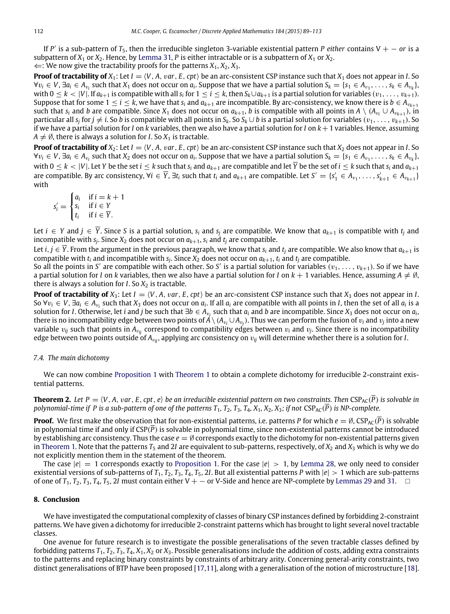If *P* ′ is a sub-pattern of *T*5, then the irreducible singleton 3-variable existential pattern *P either* contains V + − *or* is a subpattern of  $X_1$  or  $X_2$ . Hence, by [Lemma 31,](#page-20-2) P is either intractable or is a subpattern of  $X_1$  or  $X_2$ . ⇐: We now give the tractability proofs for the patterns *X*1, *X*2, *X*3.

**Proof of tractability of**  $X_1$ : Let  $I = \langle V, A, \nu a \cdot E, c \nu t \rangle$  be an arc-consistent CSP instance such that  $X_1$  does not appear in *I*. So  $\forall v_i \in V$ ,  $\exists a_i \in A_{v_i}$  such that  $X_1$  does not occur on  $a_i$ . Suppose that we have a partial solution  $S_k = \{s_1 \in A_{v_1}, \ldots, s_k \in A_{v_k}\}$ with  $0\leq k<|V|$ . If  $a_{k+1}$  is compatible with all  $s_i$  for  $1\leq i\leq k$ , then  $S_k\cup a_{k+1}$  is a partial solution for variables  $(v_1,\ldots,v_{k+1})$ . Suppose that for some  $1 \le i \le k$ , we have that  $s_i$  and  $a_{k+1}$  are incompatible. By arc-consistency, we know there is  $b \in A_{v_{k+1}}$ such that  $s_i$  and *b* are compatible. Since  $X_1$  does not occur on  $a_{k+1}$ , *b* is compatible with all points in  $A \setminus (A_{v_i} \cup A_{v_{k+1}})$ , in particular all  $s_j$  for  $j\neq i$ . So *b* is compatible with all points in  $S_k$ . So  $S_k\cup b$  is a partial solution for variables  $(v_1,\ldots,v_{k+1})$ . So if we have a partial solution for *I* on *k* variables, then we also have a partial solution for *I* on *k*+1 variables. Hence, assuming  $A \neq \emptyset$ , there is always a solution for *I*. So  $X_1$  is tractable.

**Proof of tractability of**  $X_2$ : Let  $I = \langle V, A, \nu a r, E, c p t \rangle$  be an arc-consistent CSP instance such that  $X_2$  does not appear in *I*. So  $\forall v_i \in V$ ,  $\exists a_i \in A_{v_i}$  such that  $X_2$  does not occur on  $a_i$ . Suppose that we have a partial solution  $S_k = \{s_1 \in A_{v_1}, \ldots, s_k \in A_{v_k}\}$ , with  $0 \le k < |V|$ . Let Y be the set  $i \le k$  such that  $s_i$  and  $a_{k+1}$  are compatible and let  $\overline{Y}$  be the set of  $i \le k$  such that  $s_i$  and  $a_{k+1}$ are compatible. By arc consistency,  $\forall i \in \overline{Y}$ ,  $\exists t_i$  such that  $t_i$  and  $a_{k+1}$  are compatible. Let  $S' = \{s'_1 \in A_{v_1}, \ldots, s'_{k+1} \in A_{v_{k+1}}\}$ with

$$
s'_{i} = \begin{cases} a_{i} & \text{if } i = k + 1 \\ s_{i} & \text{if } i \in Y \\ t_{i} & \text{if } i \in \overline{Y} \end{cases}
$$

Let *i* ∈ *Y* and *j* ∈  $\overline{Y}$ . Since *S* is a partial solution, *s<sub>i</sub>* and *s<sub>i</sub>* are compatible. We know that  $a_{k+1}$  is compatible with  $t_i$  and incompatible with  $s_j$ . Since  $X_2$  does not occur on  $a_{k+1}$ ,  $s_i$  and  $t_j$  are compatible.

Let *i*, *j* ∈  $\overline{Y}$ . From the argument in the previous paragraph, we know that  $s_i$  and  $t_j$  are compatible. We also know that  $a_{k+1}$  is compatible with *t<sup>i</sup>* and incompatible with *s<sup>j</sup>* . Since *X*<sup>2</sup> does not occur on *ak*+1, *t<sup>i</sup>* and *t<sup>j</sup>* are compatible.

So all the points in *S'* are compatible with each other. So *S'* is a partial solution for variables  $(v_1, \ldots, v_{k+1})$ . So if we have a partial solution for *I* on *k* variables, then we also have a partial solution for *I* on  $k + 1$  variables. Hence, assuming  $A \neq \emptyset$ , there is always a solution for  $I$ . So  $X_2$  is tractable.

**Proof of tractability of**  $X_3$ : Let  $I = \langle V, A, var, E, cpt \rangle$  be an arc-consistent CSP instance such that  $X_3$  does not appear in *I*. So  $\forall v_i \in V$ ,  $\exists a_i \in A_{v_i}$  such that  $X_3$  does not occur on  $a_i$ . If all  $a_i$  are compatible with all points in *I*, then the set of all  $a_i$  is a solution for *I*. Otherwise, let *i* and *j* be such that  $\exists b \in A_{v_j}$  such that  $a_i$  and  $b$  are incompatible. Since  $X_3$  does not occur on  $a_i$ , there is no incompatibility edge between two points of  $A\setminus (A_{v_i}\cup A_{v_j}).$  Thus we can perform the fusion of  $v_i$  and  $v_j$  into a new variable  $v_{ij}$  such that points in  $A_{v_{ij}}$  correspond to compatibility edges between  $v_i$  and  $v_j$ . Since there is no incompatibility edge between two points outside of  $A_{v_{ij}}$ , applying arc consistency on  $v_{ij}$  will determine whether there is a solution for *I*.

## *7.4. The main dichotomy*

We can now combine [Proposition 1](#page-22-1) with [Theorem 1](#page-7-1) to obtain a complete dichotomy for irreducible 2-constraint existential patterns.

**Theorem 2.** Let  $P = \langle V, A, \text{var}, E, \text{cpt}, e \rangle$  be an irreducible existential pattern on two constraints. Then  $CSP_{AC}(\overline{P})$  is solvable in *polynomial-time if P is a sub-pattern of one of the patterns*  $T_1$ *,*  $T_2$ *,*  $T_3$ *,*  $T_4$ *,*  $X_1$ *,*  $X_2$ *,*  $X_3$ *; if not*  $CSP_{AC}(\overline{P})$  *is NP-complete.* 

**Proof.** We first make the observation that for non-existential patterns, i.e. patterns *P* for which  $e = \emptyset$ , CSP<sub>AC</sub>( $\overline{P}$ ) is solvable in polynomial time if and only if CSP(*P*) is solvable in polynomial time, since non-existential patterns cannot be introduced by establishing arc consistency. Thus the case *e* = ∅ corresponds exactly to the dichotomy for non-existential patterns given in [Theorem 1.](#page-7-1) Note that the patterns  $T_5$  and 2*I* are equivalent to sub-patterns, respectively, of  $X_2$  and  $X_3$  which is why we do not explicitly mention them in the statement of the theorem.

The case  $|e| = 1$  corresponds exactly to [Proposition 1.](#page-22-1) For the case  $|e| > 1$ , by [Lemma 28,](#page-18-2) we only need to consider existential versions of sub-patterns of  $T_1$ ,  $T_2$ ,  $T_3$ ,  $T_4$ ,  $T_5$ , 2*I*. But all existential patterns *P* with  $|e| > 1$  which are sub-patterns of one of  $T_1$ ,  $T_2$ ,  $T_3$ ,  $T_4$ ,  $T_5$ , 2*I* must contain either V + − or V-Side and hence are NP-complete by [Lemmas 29](#page-19-0) and [31.](#page-20-2)  $\Box$ 

## **8. Conclusion**

We have investigated the computational complexity of classes of binary CSP instances defined by forbidding 2-constraint patterns. We have given a dichotomy for irreducible 2-constraint patterns which has brought to light several novel tractable classes.

One avenue for future research is to investigate the possible generalisations of the seven tractable classes defined by forbidding patterns *T*1, *T*2, *T*3, *T*4, *X*1, *X*<sup>2</sup> or *X*3. Possible generalisations include the addition of costs, adding extra constraints to the patterns and replacing binary constraints by constraints of arbitrary arity. Concerning general-arity constraints, two distinct generalisations of BTP have been proposed [\[17](#page-24-18)[,11\]](#page-24-19), along with a generalisation of the notion of microstructure [\[18\]](#page-24-20).